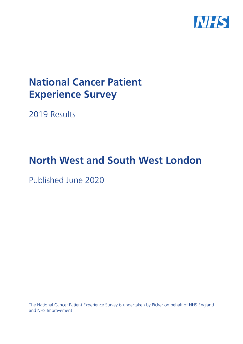

# **National Cancer Patient Experience Survey**

2019 Results

# **North West and South West London**

Published June 2020

The National Cancer Patient Experience Survey is undertaken by Picker on behalf of NHS England and NHS Improvement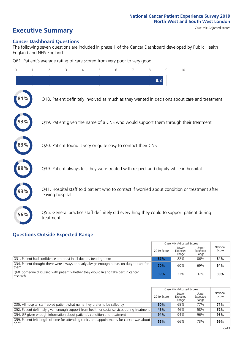# **Executive Summary** Case Mix Adjusted scores

#### **Cancer Dashboard Questions**

The following seven questions are included in phase 1 of the Cancer Dashboard developed by Public Health England and NHS England:

Q61. Patient's average rating of care scored from very poor to very good

| $\Omega$ | $\overline{2}$                                                | 3 | 4 | 5 | 6 | 7 | 8   | 9 | 10                                                                                            |
|----------|---------------------------------------------------------------|---|---|---|---|---|-----|---|-----------------------------------------------------------------------------------------------|
|          |                                                               |   |   |   |   |   | 8.8 |   |                                                                                               |
| $81\%$   |                                                               |   |   |   |   |   |     |   | Q18. Patient definitely involved as much as they wanted in decisions about care and treatment |
|          |                                                               |   |   |   |   |   |     |   | Q19. Patient given the name of a CNS who would support them through their treatment           |
| 83%      | Q20. Patient found it very or quite easy to contact their CNS |   |   |   |   |   |     |   |                                                                                               |
|          |                                                               |   |   |   |   |   |     |   | Q39. Patient always felt they were treated with respect and dignity while in hospital         |
|          | leaving hospital                                              |   |   |   |   |   |     |   | Q41. Hospital staff told patient who to contact if worried about condition or treatment after |
| 56%      | treatment                                                     |   |   |   |   |   |     |   | Q55. General practice staff definitely did everything they could to support patient during    |

#### **Questions Outside Expected Range**

|                                                                                                   |            | Case Mix Adjusted Scores   |                            |                   |
|---------------------------------------------------------------------------------------------------|------------|----------------------------|----------------------------|-------------------|
|                                                                                                   | 2019 Score | Lower<br>Expected<br>Range | Upper<br>Expected<br>Range | National<br>Score |
| Q31. Patient had confidence and trust in all doctors treating them                                | 87%        | 82%                        | 86%                        | 84%               |
| Q34. Patient thought there were always or nearly always enough nurses on duty to care for<br>them | 70%        | 60%                        | 69%                        | 64%               |
| Q60. Someone discussed with patient whether they would like to take part in cancer<br>research    | 39%        | 23%                        | 37%                        | 30%               |

|                                                                                                       |            | Case Mix Adjusted Scores   |                            |                   |
|-------------------------------------------------------------------------------------------------------|------------|----------------------------|----------------------------|-------------------|
|                                                                                                       | 2019 Score | Lower<br>Expected<br>Range | Upper<br>Expected<br>Range | National<br>Score |
| Q35. All hospital staff asked patient what name they prefer to be called by                           | 60%        | 65%                        | 77%                        | 71%               |
| Q52. Patient definitely given enough support from health or social services during treatment          | 46%        | 46%                        | 58%                        | 52%               |
| Q54. GP given enough information about patient's condition and treatment                              | 94%        | 94%                        | 96%                        | 95%               |
| Q59. Patient felt length of time for attending clinics and appointments for cancer was about<br>right | 65%        | 66%                        | 73%                        | 69%               |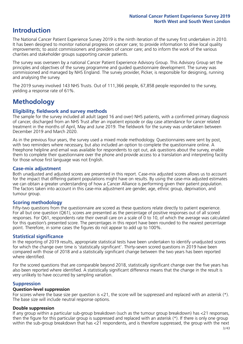### **Introduction**

The National Cancer Patient Experience Survey 2019 is the ninth iteration of the survey first undertaken in 2010. It has been designed to monitor national progress on cancer care; to provide information to drive local quality improvements; to assist commissioners and providers of cancer care; and to inform the work of the various charities and stakeholder groups supporting cancer patients.

The survey was overseen by a national Cancer Patient Experience Advisory Group. This Advisory Group set the principles and objectives of the survey programme and guided questionnaire development. The survey was commissioned and managed by NHS England. The survey provider, Picker, is responsible for designing, running and analysing the survey.

The 2019 survey involved 143 NHS Trusts. Out of 111,366 people, 67,858 people responded to the survey, yielding a response rate of 61%.

### **Methodology**

#### **Eligibility, fieldwork and survey methods**

The sample for the survey included all adult (aged 16 and over) NHS patients, with a confirmed primary diagnosis of cancer, discharged from an NHS Trust after an inpatient episode or day case attendance for cancer related treatment in the months of April, May and June 2019. The fieldwork for the survey was undertaken between December 2019 and March 2020.

As in the previous four years, the survey used a mixed mode methodology. Questionnaires were sent by post, with two reminders where necessary, but also included an option to complete the questionnaire online. A Freephone helpline and email was available for respondents to opt out, ask questions about the survey, enable them to complete their questionnaire over the phone and provide access to a translation and interpreting facility for those whose first language was not English.

#### **Case-mix adjustment**

Both unadjusted and adjusted scores are presented in this report. Case-mix adjusted scores allows us to account for the impact that differing patient populations might have on results. By using the case-mix adjusted estimates we can obtain a greater understanding of how a Cancer Alliance is performing given their patient population. The factors taken into account in this case-mix adjustment are gender, age, ethnic group, deprivation, and tumour group.

#### **Scoring methodology**

Fifty-two questions from the questionnaire are scored as these questions relate directly to patient experience. For all but one question (Q61), scores are presented as the percentage of positive responses out of all scored responses. For Q61, respondents rate their overall care on a scale of 0 to 10, of which the average was calculated for this question's presented score. The percentages in this report have been rounded to the nearest percentage point. Therefore, in some cases the figures do not appear to add up to 100%.

#### **Statistical significance**

In the reporting of 2019 results, appropriate statistical tests have been undertaken to identify unadjusted scores for which the change over time is 'statistically significant'. Thirty-seven scored questions in 2019 have been compared with those of 2018 and a statistically significant change between the two years has been reported where identified.

For the scored questions that are comparable beyond 2018, statistically significant change over the five years has also been reported where identified. A statistically significant difference means that the change in the result is very unlikely to have occurred by sampling variation.

#### **Suppression**

#### **Question-level suppression**

For scores where the base size per question is  $<$ 21, the score will be suppressed and replaced with an asterisk (\*). The base size will include neutral response options.

#### **Double suppression**

If any group within a particular sub-group breakdown (such as the tumour group breakdown) has <21 responses, then the figure for this particular group is suppressed and replaced with an asterisk (\*). If there is only one group within the sub-group breakdown that has <21 respondents, and is therefore suppressed, the group with the next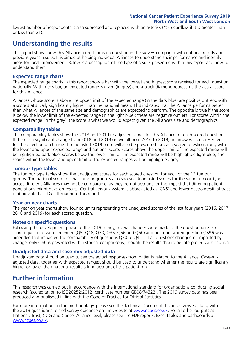lowest number of respondents is also supressed and replaced with an asterisk (\*) (regardless if it is greater than or less than 21).

### **Understanding the results**

This report shows how this Alliance scored for each question in the survey, compared with national results and previous year's results. It is aimed at helping individual Alliances to understand their performance and identify areas for local improvement. Below is a description of the type of results presented within this report and how to understand them.

#### **Expected range charts**

The expected range charts in this report show a bar with the lowest and highest score received for each question nationally. Within this bar, an expected range is given (in grey) and a black diamond represents the actual score for this Alliance.

Alliances whose score is above the upper limit of the expected range (in the dark blue) are positive outliers, with a score statistically significantly higher than the national mean. This indicates that the Alliance performs better than what Alliances of the same size and demographics are expected to perform. The opposite is true if the score is below the lower limit of the expected range (in the light blue); these are negative outliers. For scores within the expected range (in the grey), the score is what we would expect given the Alliance's size and demographics.

#### **Comparability tables**

The comparability tables show the 2018 and 2019 unadjusted scores for this Alliance for each scored question. If there is a significant change from 2018 and 2019 or overall from 2016 to 2019, an arrow will be presented for the direction of change. The adjusted 2019 score will also be presented for each scored question along with the lower and upper expected range and national score. Scores above the upper limit of the expected range will be highlighted dark blue, scores below the lower limit of the expected range will be highlighted light blue, and scores within the lower and upper limit of the expected ranges will be highlighted grey.

#### **Tumour type tables**

The tumour type tables show the unadjusted scores for each scored question for each of the 13 tumour groups. The national score for that tumour group is also shown. Unadjusted scores for the same tumour type across different Alliances may not be comparable, as they do not account for the impact that differing patient populations might have on results. Central nervous system is abbreviated as 'CNS' and lower gastrointestinal tract is abbreviated as 'LGT' throughout this report.

#### **Year on year charts**

The year on year charts show four columns representing the unadjusted scores of the last four years (2016, 2017, 2018 and 2019) for each scored question.

#### **Notes on specific questions**

Following the development phase of the 2019 survey, several changes were made to the questionnaire. Six scored questions were amended (Q5, Q18, Q30, Q35, Q56 and Q60) and one non-scored question (Q29) was amended that impacted the comparability of questions Q30 to Q41. Of all questions changed or impacted by change, only Q60 is presented with historical comparisons; though the results should be interpreted with caution.

#### **Unadjusted data and case-mix adjusted data**

Unadjusted data should be used to see the actual responses from patients relating to the Alliance. Case-mix adjusted data, together with expected ranges, should be used to understand whether the results are significantly higher or lower than national results taking account of the patient mix.

### **Further information**

This research was carried out in accordance with the international standard for organisations conducting social research (accreditation to ISO20252:2012; certificate number GB08/74322). The 2019 survey data has been produced and published in line with the Code of Practice for Official Statistics.

For more information on the methodology, please see the Technical Document. It can be viewed along with the 2019 questionnaire and survey guidance on the website at [www.ncpes.co.uk](https://www.ncpes.co.uk/supporting-documents). For all other outputs at National, Trust, CCG and Cancer Alliance level, please see the PDF reports, Excel tables and dashboards at [www.ncpes.co.uk.](https://www.ncpes.co.uk/current-results)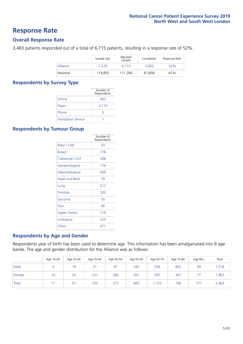### **Response Rate**

#### **Overall Response Rate**

3,483 patients responded out of a total of 6,715 patients, resulting in a response rate of 52%.

|          | Sample Size | Adjusted<br>Sample | Completed | Response Rate |
|----------|-------------|--------------------|-----------|---------------|
| Alliance | 7.229       | 6.715              | 3,483     | 52%           |
| National | 119,855     | 111.366            | 67,858    | 61%           |

#### **Respondents by Survey Type**

|                            | Number of<br>Respondents |
|----------------------------|--------------------------|
| Online                     | 363                      |
| Paper                      | 3,119                    |
| Phone                      | 0                        |
| <b>Translation Service</b> |                          |

#### **Respondents by Tumour Group**

|                      | Number of<br>Respondents |
|----------------------|--------------------------|
| Brain / CNS          | 23                       |
| <b>Breast</b>        | 778                      |
| Colorectal / LGT     | 308                      |
| Gynaecological       | 176                      |
| Haematological       | 609                      |
| <b>Head and Neck</b> | 78                       |
| Lung                 | 217                      |
| Prostate             | 320                      |
| Sarcoma              | 35                       |
| Skin                 | 96                       |
| <b>Upper Gastro</b>  | 119                      |
| Urological           | 253                      |
| Other                | 471                      |

#### **Respondents by Age and Gender**

Respondents year of birth has been used to determine age. This information has been amalgamated into 8 age bands. The age and gender distribution for the Alliance was as follows:

|        | Age 16-24 | Age 25-34 | Age 35-44 | Age 45-54 | Age 55-64 | Age 65-74 | Age 75-84 | Age 85+ | Total |
|--------|-----------|-----------|-----------|-----------|-----------|-----------|-----------|---------|-------|
| Male   |           | 19        | 31        | 91        | 342       | 536       | 402       | 94      | 1,518 |
| Female | 14        | 32        | 121       | 286       | 501       | 587       | 347       |         | 1,965 |
| Total  |           | 51        | 152       | 377       | 843       | ,123      | 749       | 171     | 3,483 |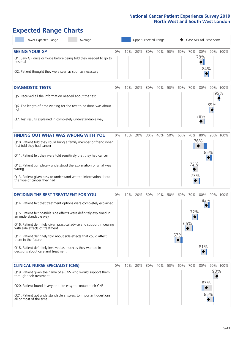# **Expected Range Charts**

| Lower Expected Range<br>Average                                                                         |    |     |     |     | Upper Expected Range |     |     |     |     | Case Mix Adjusted Score |          |
|---------------------------------------------------------------------------------------------------------|----|-----|-----|-----|----------------------|-----|-----|-----|-----|-------------------------|----------|
| <b>SEEING YOUR GP</b>                                                                                   | 0% | 10% | 20% | 30% | 40%                  | 50% | 60% | 70% | 80% |                         | 90% 100% |
| Q1. Saw GP once or twice before being told they needed to go to<br>hospital                             |    |     |     |     |                      |     |     |     | 78% |                         |          |
| Q2. Patient thought they were seen as soon as necessary                                                 |    |     |     |     |                      |     |     |     | 84% |                         |          |
| <b>DIAGNOSTIC TESTS</b>                                                                                 | 0% | 10% | 20% | 30% | 40%                  | 50% | 60% | 70% | 80% |                         | 90% 100% |
| O5. Received all the information needed about the test                                                  |    |     |     |     |                      |     |     |     |     |                         | 95%      |
| Q6. The length of time waiting for the test to be done was about<br>right                               |    |     |     |     |                      |     |     |     |     | 89%                     |          |
| Q7. Test results explained in completely understandable way                                             |    |     |     |     |                      |     |     |     | 78% |                         |          |
| <b>FINDING OUT WHAT WAS WRONG WITH YOU</b>                                                              | 0% | 10% | 20% | 30% | 40%                  | 50% | 60% | 70% | 80% |                         | 90% 100% |
| Q10. Patient told they could bring a family member or friend when<br>first told they had cancer         |    |     |     |     |                      |     |     |     | 76% |                         |          |
| Q11. Patient felt they were told sensitively that they had cancer                                       |    |     |     |     |                      |     |     |     |     | 85%                     |          |
| Q12. Patient completely understood the explanation of what was<br>wrong                                 |    |     |     |     |                      |     |     | 72% |     |                         |          |
| Q13. Patient given easy to understand written information about<br>the type of cancer they had          |    |     |     |     |                      |     |     | 73% |     |                         |          |
| <b>DECIDING THE BEST TREATMENT FOR YOU</b>                                                              | 0% | 10% | 20% | 30% | 40%                  | 50% | 60% | 70% | 80% |                         | 90% 100% |
| Q14. Patient felt that treatment options were completely explained                                      |    |     |     |     |                      |     |     |     | 83% |                         |          |
| Q15. Patient felt possible side effects were definitely explained in<br>an understandable way           |    |     |     |     |                      |     |     | 72% |     |                         |          |
| Q16. Patient definitely given practical advice and support in dealing<br>with side effects of treatment |    |     |     |     |                      |     |     | 66% |     |                         |          |
| Q17. Patient definitely told about side effects that could affect<br>them in the future                 |    |     |     |     |                      |     | 57% |     |     |                         |          |
| Q18. Patient definitely involved as much as they wanted in<br>decisions about care and treatment        |    |     |     |     |                      |     |     |     | 81% |                         |          |
| <b>CLINICAL NURSE SPECIALIST (CNS)</b>                                                                  | 0% | 10% | 20% | 30% | 40%                  | 50% | 60% | 70% | 80% |                         | 90% 100% |
| Q19. Patient given the name of a CNS who would support them<br>through their treatment                  |    |     |     |     |                      |     |     |     |     | 93%                     |          |
| Q20. Patient found it very or quite easy to contact their CNS                                           |    |     |     |     |                      |     |     |     | 83% |                         |          |
| Q21. Patient got understandable answers to important questions<br>all or most of the time               |    |     |     |     |                      |     |     |     |     | 85%                     |          |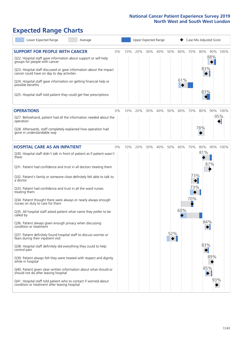# **Expected Range Charts**

| Lower Expected Range<br>Average                                                                                   |    |     |     |     | Upper Expected Range |     |     |                        | Case Mix Adjusted Score |     |          |
|-------------------------------------------------------------------------------------------------------------------|----|-----|-----|-----|----------------------|-----|-----|------------------------|-------------------------|-----|----------|
| <b>SUPPORT FOR PEOPLE WITH CANCER</b>                                                                             | 0% | 10% | 20% | 30% | 40%                  | 50% | 60% | 70%                    | 80%                     | 88% | 90% 100% |
| Q22. Hospital staff gave information about support or self-help<br>groups for people with cancer                  |    |     |     |     |                      |     |     |                        | 83%                     |     |          |
| Q23. Hospital staff discussed or gave information about the impact<br>cancer could have on day to day activities  |    |     |     |     |                      |     |     |                        |                         |     |          |
| Q24. Hospital staff gave information on getting financial help or<br>possible benefits                            |    |     |     |     |                      |     | 61% |                        |                         |     |          |
| Q25. Hospital staff told patient they could get free prescriptions                                                |    |     |     |     |                      |     |     |                        | 83%                     |     |          |
| <b>OPERATIONS</b>                                                                                                 | 0% | 10% | 20% | 30% | 40%                  | 50% | 60% | 70%                    | 80%                     |     | 90% 100% |
| Q27. Beforehand, patient had all the information needed about the<br>operation                                    |    |     |     |     |                      |     |     |                        |                         |     | 95%      |
| Q28. Afterwards, staff completely explained how operation had<br>gone in understandable way                       |    |     |     |     |                      |     |     |                        | 78%                     |     |          |
| <b>HOSPITAL CARE AS AN INPATIENT</b>                                                                              | 0% | 10% | 20% | 30% | 40%                  | 50% | 60% | 70%                    | 80%                     |     | 90% 100% |
| Q30. Hospital staff didn't talk in front of patient as if patient wasn't<br>there                                 |    |     |     |     |                      |     |     |                        | 81%                     |     |          |
| Q31. Patient had confidence and trust in all doctors treating them                                                |    |     |     |     |                      |     |     |                        |                         | 87% |          |
| Q32. Patient's family or someone close definitely felt able to talk to<br>a doctor                                |    |     |     |     |                      |     |     | 73%<br>$\blacklozenge$ |                         |     |          |
| Q33. Patient had confidence and trust in all the ward nurses<br>treating them                                     |    |     |     |     |                      |     |     | 73%                    |                         |     |          |
| Q34. Patient thought there were always or nearly always enough<br>nurses on duty to care for them                 |    |     |     |     |                      |     |     | 70%                    |                         |     |          |
| Q35. All hospital staff asked patient what name they prefer to be<br>called by                                    |    |     |     |     |                      |     | 60% |                        |                         |     |          |
| Q36. Patient always given enough privacy when discussing<br>condition or treatment                                |    |     |     |     |                      |     |     |                        | 84%                     |     |          |
| Q37. Patient definitely found hospital staff to discuss worries or<br>fears during their inpatient visit          |    |     |     |     |                      | 52% |     |                        |                         |     |          |
| Q38. Hospital staff definitely did everything they could to help<br>control pain                                  |    |     |     |     |                      |     |     |                        | 83%                     |     |          |
| Q39. Patient always felt they were treated with respect and dignity<br>while in hospital                          |    |     |     |     |                      |     |     |                        |                         | 89% |          |
| Q40. Patient given clear written information about what should or<br>should not do after leaving hospital         |    |     |     |     |                      |     |     |                        | 85%                     |     |          |
| Q41. Hospital staff told patient who to contact if worried about<br>condition or treatment after leaving hospital |    |     |     |     |                      |     |     |                        |                         | 93% |          |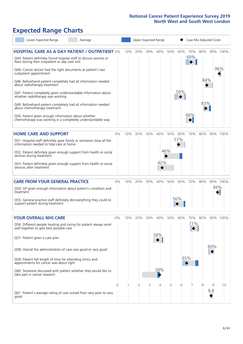# **Expected Range Charts**

|           | Lower Expected Range                                                                                                  | Average |          |     |     |     | Upper Expected Range |     |     | Case Mix Adjusted Score |     |     |          |
|-----------|-----------------------------------------------------------------------------------------------------------------------|---------|----------|-----|-----|-----|----------------------|-----|-----|-------------------------|-----|-----|----------|
|           | <b>HOSPITAL CARE AS A DAY PATIENT / OUTPATIENT 0%</b>                                                                 |         |          | 10% | 20% | 30% | 40%                  | 50% | 60% | 70%<br>69%              | 80% |     | 90% 100% |
|           | Q43. Patient definitely found hospital staff to discuss worries or<br>fears during their outpatient or day case visit |         |          |     |     |     |                      |     |     |                         |     |     | 96%      |
|           | Q44. Cancer doctor had the right documents at patient's last<br>outpatient appointment                                |         |          |     |     |     |                      |     |     |                         | 84% |     |          |
|           | Q46. Beforehand patient completely had all information needed<br>about radiotherapy treatment                         |         |          |     |     |     |                      |     | 59% |                         |     |     |          |
|           | Q47. Patient completely given understandable information about<br>whether radiotherapy was working                    |         |          |     |     |     |                      |     |     |                         | 83% |     |          |
|           | Q49. Beforehand patient completely had all information needed<br>about chemotherapy treatment                         |         |          |     |     |     |                      |     |     | 68%                     |     |     |          |
|           | Q50. Patient given enough information about whether<br>chemotherapy was working in a completely understandable way    |         |          |     |     |     |                      |     |     |                         |     |     |          |
|           | <b>HOME CARE AND SUPPORT</b>                                                                                          |         | $0\%$    | 10% | 20% | 30% | 40%                  | 50% | 60% | 70%                     | 80% |     | 90% 100% |
|           | Q51. Hospital staff definitely gave family or someone close all the<br>information needed to help care at home        |         |          |     |     |     |                      |     | 57% |                         |     |     |          |
|           | Q52. Patient definitely given enough support from health or social<br>services during treatment                       |         |          |     |     |     |                      | 46% |     |                         |     |     |          |
|           | Q53. Patient definitely given enough support from health or social<br>services after treatment                        |         |          |     |     |     | 42%                  |     |     |                         |     |     |          |
|           | <b>CARE FROM YOUR GENERAL PRACTICE</b>                                                                                |         | $0\%$    | 10% | 20% | 30% | 40%                  | 50% | 60% | 70%                     | 80% |     | 90% 100% |
| treatment | Q54. GP given enough information about patient's condition and                                                        |         |          |     |     |     |                      |     |     |                         |     | 94% |          |
|           | Q55. General practice staff definitely did everything they could to<br>support patient during treatment               |         |          |     |     |     |                      |     | 56% |                         |     |     |          |
|           | <b>YOUR OVERALL NHS CARE</b>                                                                                          |         | 0%       | 10% | 20% | 30% | 40%                  | 50% | 60% | 70%                     | 80% |     | 90% 100% |
|           | Q56. Different people treating and caring for patient always work<br>well together to give best possible care         |         |          |     |     |     |                      |     |     | 71%                     |     |     |          |
|           | Q57. Patient given a care plan                                                                                        |         |          |     |     |     | 38%                  |     |     |                         |     |     |          |
|           | Q58. Overall the administration of care was good or very good                                                         |         |          |     |     |     |                      |     |     |                         |     | 89% |          |
|           | Q59. Patient felt length of time for attending clinics and<br>appointments for cancer was about right                 |         |          |     |     |     |                      |     |     | 65%                     |     |     |          |
|           | Q60. Someone discussed with patient whether they would like to<br>take part in cancer research                        |         |          |     |     |     | 39%                  |     |     |                         |     |     |          |
|           |                                                                                                                       |         | $\Omega$ |     | 2   | 3   | 4                    | 5   | 6   |                         | 8   | 9   | 10       |
| good      | Q61. Patient's average rating of care scored from very poor to very                                                   |         |          |     |     |     |                      |     |     |                         |     | 8.8 |          |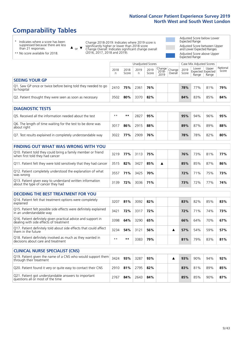### **Comparability Tables**

\* Indicates where a score has been suppressed because there are less than 21 responses.

\*\* No score available for 2018.

 $\triangle$  or  $\nabla$ 

Change 2018-2019: Indicates where 2019 score is significantly higher or lower than 2018 score Change Overall: Indicates significant change overall (2016, 2017, 2018 and 2019).

Adjusted Score below Lower Expected Range Adjusted Score between Upper and Lower Expected Ranges Adjusted Score above Upper Expected Range

|                                                                             | Case Mix Adjusted Scores<br>Unadjusted Scores |               |           |               |                                                    |         |               |                |                                     |                   |
|-----------------------------------------------------------------------------|-----------------------------------------------|---------------|-----------|---------------|----------------------------------------------------|---------|---------------|----------------|-------------------------------------|-------------------|
|                                                                             | 2018<br>n                                     | 2018<br>Score | 2019<br>n | 2019<br>Score | $\sim$   Change   Change   $\sim$<br>2018-<br>2019 | Overall | 2019<br>Score | Lower<br>Range | Upper<br>Expected Expected<br>Range | National<br>Score |
| <b>SEEING YOUR GP</b>                                                       |                                               |               |           |               |                                                    |         |               |                |                                     |                   |
| Q1. Saw GP once or twice before being told they needed to go<br>to hospital | 2410                                          | 75%           | 2361      | 76%           |                                                    |         | 78%           | 77%            | 81%                                 | 79%               |
| Q2. Patient thought they were seen as soon as necessary                     | 3502                                          | 80%           | 3370      | 82%           |                                                    |         | 84%           | 83%            | 85%                                 | 84%               |

| <b>DIAGNOSTIC TESTS</b>                                                   |      |     |      |     |  |     |     |     |     |
|---------------------------------------------------------------------------|------|-----|------|-----|--|-----|-----|-----|-----|
| Q5. Received all the information needed about the test                    | $**$ | **  | 2827 | 95% |  | 95% | 94% | 96% | 95% |
| Q6. The length of time waiting for the test to be done was<br>about right | 3017 | 86% | 2915 | 88% |  | 89% | 87% | 89% | 88% |
| Q7. Test results explained in completely understandable way               | 3022 | 77% | 2909 | 76% |  | 78% | 78% | 82% | 80% |

| <b>FINDING OUT WHAT WAS WRONG WITH YOU</b>                                                      |      |     |          |     |   |     |     |     |     |
|-------------------------------------------------------------------------------------------------|------|-----|----------|-----|---|-----|-----|-----|-----|
| Q10. Patient told they could bring a family member or friend<br>when first told they had cancer | 3219 | 77% | 3113 75% |     |   | 76% | 73% | 81% | 77% |
| Q11. Patient felt they were told sensitively that they had cancer                               | 3515 | 82% | 3427     | 85% | A | 85% | 85% | 87% | 86% |
| Q12. Patient completely understood the explanation of what<br>was wrong                         | 3557 | 71% | 3425     | 70% |   | 72% | 71% | 75% | 73% |
| Q13. Patient given easy to understand written information<br>about the type of cancer they had  | 3139 | 72% | 3036     | 71% |   | 73% | 72% | 77% | 74% |

| <b>DECIDING THE BEST TREATMENT FOR YOU</b>                                                              |      |     |      |     |  |     |     |     |     |
|---------------------------------------------------------------------------------------------------------|------|-----|------|-----|--|-----|-----|-----|-----|
| Q14. Patient felt that treatment options were completely<br>explained                                   | 3207 | 81% | 3092 | 82% |  | 83% | 82% | 85% | 83% |
| Q15. Patient felt possible side effects were definitely explained<br>in an understandable way           | 3421 | 72% | 3317 | 72% |  | 72% | 71% | 74% | 73% |
| Q16. Patient definitely given practical advice and support in<br>dealing with side effects of treatment | 3398 | 64% | 3290 | 65% |  | 66% | 64% | 70% | 67% |
| Q17. Patient definitely told about side effects that could affect<br>them in the future                 | 3234 | 54% | 3121 | 56% |  | 57% | 54% | 59% | 57% |
| Q18. Patient definitely involved as much as they wanted in<br>decisions about care and treatment        | $**$ | **  | 3383 | 79% |  | 81% | 79% | 83% | 81% |

| <b>CLINICAL NURSE SPECIALIST (CNS)</b>                                                                |      |     |      |     |  |     |     |     |     |
|-------------------------------------------------------------------------------------------------------|------|-----|------|-----|--|-----|-----|-----|-----|
| Q19. Patient given the name of a CNS who would support them $\vert$ 3424  <br>through their treatment |      | 93% | 3287 | 93% |  | 93% | 90% | 94% | 92% |
| Q20. Patient found it very or quite easy to contact their CNS                                         | 2910 | 81% | 2795 | 82% |  | 83% | 81% | 89% | 85% |
| Q21. Patient got understandable answers to important<br>questions all or most of the time             | 2767 | 84% | 2643 | 84% |  | 85% | 85% | 90% | 87% |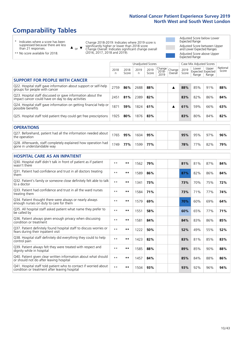### **Comparability Tables**

\* Indicates where a score has been suppressed because there are less than 21 responses.

\*\* No score available for 2018.

 $\triangle$  or  $\nabla$ 

Change 2018-2019: Indicates where 2019 score is significantly higher or lower than 2018 score Change Overall: Indicates significant change overall (2016, 2017, 2018 and 2019).

Adjusted Score below Lower Expected Range Adjusted Score between Upper and Lower Expected Ranges Adjusted Score above Upper Expected Range

|                                                                                                                   | <b>Unadjusted Scores</b> |               |            |               |                         |                   |               | Case Mix Adjusted Scores            |                |                   |
|-------------------------------------------------------------------------------------------------------------------|--------------------------|---------------|------------|---------------|-------------------------|-------------------|---------------|-------------------------------------|----------------|-------------------|
|                                                                                                                   | 2018<br>n                | 2018<br>Score | 2019<br>n. | 2019<br>Score | Change<br>2018-<br>2019 | Change<br>Overall | 2019<br>Score | Lower<br>Expected Expected<br>Range | Upper<br>Range | National<br>Score |
| <b>SUPPORT FOR PEOPLE WITH CANCER</b>                                                                             |                          |               |            |               |                         |                   |               |                                     |                |                   |
| Q22. Hospital staff gave information about support or self-help<br>groups for people with cancer                  | 2759                     | 86%           | 2688       | 88%           |                         | ▲                 | 88%           | 85%                                 | 91%            | 88%               |
| Q23. Hospital staff discussed or gave information about the<br>impact cancer could have on day to day activities  | 2451                     | 81%           | 2389       | 82%           |                         |                   | 83%           | 82%                                 | 86%            | 84%               |
| Q24. Hospital staff gave information on getting financial help or<br>possible benefits                            | 1871                     | 59%           | 1824       | 61%           |                         | ▲                 | 61%           | 59%                                 | 66%            | 63%               |
| Q25. Hospital staff told patient they could get free prescriptions                                                | 1925                     | 80%           | 1876       | 83%           |                         |                   | 83%           | 80%                                 | 84%            | 82%               |
| <b>OPERATIONS</b>                                                                                                 |                          |               |            |               |                         |                   |               |                                     |                |                   |
| Q27. Beforehand, patient had all the information needed about<br>the operation                                    | 1765                     | 95%           | 1604       | 95%           |                         |                   | 95%           | 95%                                 | 97%            | 96%               |
| Q28. Afterwards, staff completely explained how operation had<br>gone in understandable way                       | 1749                     | 77%           | 1599       | 77%           |                         |                   | 78%           | 77%                                 | 82%            | 79%               |
| <b>HOSPITAL CARE AS AN INPATIENT</b>                                                                              |                          |               |            |               |                         |                   |               |                                     |                |                   |
| Q30. Hospital staff didn't talk in front of patient as if patient<br>wasn't there                                 | $* *$                    | **            | 1562       | 79%           |                         |                   | 81%           | 81%                                 | 87%            | 84%               |
| Q31. Patient had confidence and trust in all doctors treating<br>them                                             | $* *$                    | $***$         | 1589       | 86%           |                         |                   | 87%           | 82%                                 | 86%            | 84%               |
| Q32. Patient's family or someone close definitely felt able to talk<br>to a doctor                                | $* *$                    | $***$         | 1341       | 73%           |                         |                   | 73%           | 70%                                 | 75%            | 72%               |
| Q33. Patient had confidence and trust in all the ward nurses<br>treating them                                     | $\star\star$             | **            | 1584       | 71%           |                         |                   | 73%           | 71%                                 | 77%            | 74%               |
| Q34. Patient thought there were always or nearly always<br>enough nurses on duty to care for them                 | $* *$                    | $***$         | 1579       | 69%           |                         |                   | 70%           | 60%                                 | 69%            | 64%               |
| Q35. All hospital staff asked patient what name they prefer to<br>be called by                                    | $* *$                    | $***$         | 1551       | 58%           |                         |                   | 60%           | 65%                                 | 77%            | 71%               |
| Q36. Patient always given enough privacy when discussing<br>condition or treatment                                | $**$                     | $***$         | 1581       | 84%           |                         |                   | 84%           | 83%                                 | 86%            | 85%               |
| Q37. Patient definitely found hospital staff to discuss worries or<br>fears during their inpatient visit          | $**$                     | **            | 1222       | 50%           |                         |                   | 52%           | 49%                                 | 55%            | 52%               |
| Q38. Hospital staff definitely did everything they could to help<br>control pain                                  | $* *$                    | $***$         | 1423       | 82%           |                         |                   | 83%           | 81%                                 | 85%            | 83%               |
| Q39. Patient always felt they were treated with respect and<br>dignity while in hospital                          | $***$                    | **            | 1585       | 88%           |                         |                   | 89%           | 85%                                 | 90%            | 88%               |
| Q40. Patient given clear written information about what should<br>or should not do after leaving hospital         | $**$                     | $***$         | 1457       | 84%           |                         |                   | 85%           | 84%                                 | 88%            | 86%               |
| Q41. Hospital staff told patient who to contact if worried about<br>condition or treatment after leaving hospital | $**$                     | **            | 1504       | 93%           |                         |                   | 93%           | 92%                                 | 96%            | 94%               |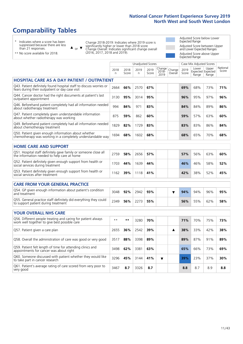Unadjusted Scores **Case Mix Adjusted Scores** 

### **Comparability Tables**

\* Indicates where a score has been suppressed because there are less than 21 responses.

 $\triangle$  or  $\nabla$ 

Change 2018-2019: Indicates where 2019 score is significantly higher or lower than 2018 score Change Overall: Indicates significant change overall (2016, 2017, 2018 and 2019).

Adjusted Score below Lower Expected Range Adjusted Score between Upper and Lower Expected Ranges Adjusted Score above Upper Expected Range

| ** No score available for 2018. |  |
|---------------------------------|--|
|---------------------------------|--|

|                                                                                                                       | 2018<br>n | 2018<br>Score | 2019<br>n | 2019<br>Score | Change<br>$2018 -$<br>2019 | Change<br>Overall | 2019<br>Score | Lower<br>Expected Expected<br>Range | Upper<br>Range | National<br>Score |
|-----------------------------------------------------------------------------------------------------------------------|-----------|---------------|-----------|---------------|----------------------------|-------------------|---------------|-------------------------------------|----------------|-------------------|
| <b>HOSPITAL CARE AS A DAY PATIENT / OUTPATIENT</b>                                                                    |           |               |           |               |                            |                   |               |                                     |                |                   |
| Q43. Patient definitely found hospital staff to discuss worries or<br>fears during their outpatient or day case visit | 2664      | 66%           | 2570      | 67%           |                            |                   | 69%           | 68%                                 | 73%            | 71%               |
| Q44. Cancer doctor had the right documents at patient's last<br>outpatient appointment                                | 3130      | 95%           | 3014      | 95%           |                            |                   | 96%           | 95%                                 | 97%            | 96%               |
| Q46. Beforehand patient completely had all information needed<br>about radiotherapy treatment                         | 994       | 84%           | 971       | 83%           |                            |                   | 84%           | 84%                                 | 89%            | 86%               |
| Q47. Patient completely given understandable information<br>about whether radiotherapy was working                    | 875       | 59%           | 862       | 60%           |                            |                   | 59%           | 57%                                 | 63%            | 60%               |
| Q49. Beforehand patient completely had all information needed<br>about chemotherapy treatment                         | 1829      | 82%           | 1729      | 83%           |                            |                   | 83%           | 83%                                 | 86%            | 84%               |
| Q50. Patient given enough information about whether<br>chemotherapy was working in a completely understandable way    | 1694      | 68%           | 1602      | 68%           |                            |                   | 68%           | 65%                                 | 70%            | 68%               |
| <b>HOME CARE AND SUPPORT</b>                                                                                          |           |               |           |               |                            |                   |               |                                     |                |                   |
| Q51. Hospital staff definitely gave family or someone close all<br>the information needed to help care at home        | 2759      | 58%           | 2656      | 57%           |                            |                   | 57%           | 56%                                 | 63%            | 60%               |
| Q52. Patient definitely given enough support from health or<br>social services during treatment                       | 1703      | 44%           | 1639      | 44%           |                            |                   | 46%           | 46%                                 | 58%            | 52%               |
| Q53. Patient definitely given enough support from health or<br>social services after treatment                        | 1162      | 39%           | 1118      | 41%           |                            |                   | 42%           | 38%                                 | 52%            | 45%               |
| <b>CARE FROM YOUR GENERAL PRACTICE</b>                                                                                |           |               |           |               |                            |                   |               |                                     |                |                   |
| Q54. GP given enough information about patient's condition<br>and treatment                                           | 3048      | 92%           | 2942      | 93%           |                            | ▼                 | 94%           | 94%                                 | 96%            | 95%               |
| Q55. General practice staff definitely did everything they could<br>to support patient during treatment               | 2349      | 56%           | 2273      | 55%           |                            |                   | 56%           | 55%                                 | 62%            | 58%               |
| <b>YOUR OVERALL NHS CARE</b>                                                                                          |           |               |           |               |                            |                   |               |                                     |                |                   |
| Q56. Different people treating and caring for patient always<br>work well together to give best possible care         | $**$      | $***$         | 3280      | 70%           |                            |                   | 71%           | 70%                                 | 75%            | 73%               |
| Q57. Patient given a care plan                                                                                        | 2655      | 36%           | 2542      | 39%           |                            | ▲                 | 38%           | 33%                                 | 42%            | 38%               |
| Q58. Overall the administration of care was good or very good                                                         | 3517      | 88%           | 3398      | 89%           |                            |                   | 89%           | 87%                                 | 91%            | 89%               |
| Q59. Patient felt length of time for attending clinics and<br>appointments for cancer was about right                 | 3498      | 62%           | 3381      | 63%           |                            |                   | 65%           | 66%                                 | 73%            | 69%               |
| Q60. Someone discussed with patient whether they would like<br>to take part in cancer research                        | 3296      | 45%           | 3144      | 41%           | ▼                          |                   | 39%           | 23%                                 | 37%            | 30%               |
| Q61. Patient's average rating of care scored from very poor to<br>very good                                           | 3467      | 8.7           | 3326      | 8.7           |                            |                   | 8.8           | 8.7                                 | 8.9            | 8.8               |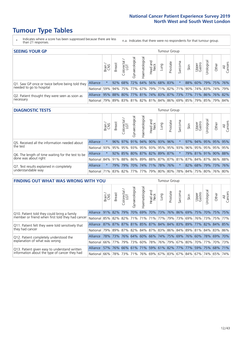### **Tumour Type Tables**

- \* Indicates where a score has been suppressed because there are less than 21 responses.
- n.a. Indicates that there were no respondents for that tumour group.

| <b>SEEING YOUR GP</b>                                      |                                                                  |              |               |                             |              |                |                  |      | <b>Tumour Group</b> |         |      |                 |                                                           |       |                |
|------------------------------------------------------------|------------------------------------------------------------------|--------------|---------------|-----------------------------|--------------|----------------|------------------|------|---------------------|---------|------|-----------------|-----------------------------------------------------------|-------|----------------|
|                                                            |                                                                  | Brain<br>CNS | <b>Breast</b> | Colorectal<br>LGT           | Gynaecologic | Haematological | Head and<br>Neck | pung | Prostate            | Sarcoma | Skin | Upper<br>Gastro | Jrological                                                | Other | All<br>Cancers |
| Q1. Saw GP once or twice before being told they            | Alliance                                                         |              |               | 92% 68% 72% 64% 56% 68% 83% |              |                |                  |      |                     |         |      |                 | 88% 60% 79% 75% 76%                                       |       |                |
| needed to go to hospital                                   | National I                                                       | 59%          |               | 94% 75% 77%                 |              |                |                  |      |                     |         |      |                 | 67%   79%   71%   82%   71%   90%   74%   83%   74%   79% |       |                |
| Q2. Patient thought they were seen as soon as<br>necessary | Alliance                                                         |              |               |                             |              |                |                  |      |                     |         |      |                 | 95% 88% 80% 77% 81% 74% 83% 87% 73% 77% 71% 86% 76% 82%   |       |                |
|                                                            | National 79% 89% 83% 81% 82% 81% 84% 86% 69% 85% 79% 85% 79% 84% |              |               |                             |              |                |                  |      |                     |         |      |                 |                                                           |       |                |

#### **DIAGNOSTIC TESTS** Tumour Group

|                                                                |                                                                  | Brain   | <b>Breast</b> | Colorectal | Gynaecological | Haematological | Head and<br>Neck | Lung                    | Prostate | Sarcoma | Skin | Upper<br>Gastro | Jrologica                                               | Other | All<br>Cancers |
|----------------------------------------------------------------|------------------------------------------------------------------|---------|---------------|------------|----------------|----------------|------------------|-------------------------|----------|---------|------|-----------------|---------------------------------------------------------|-------|----------------|
| Q5. Received all the information needed about                  | <b>Alliance</b>                                                  |         |               | 96% 97%    | 91%            |                |                  | 94% 90% 93%             | 96%      |         |      |                 | 97% 94% 95% 95% 95%                                     |       |                |
| the test                                                       | National 93%                                                     |         |               | 95% 95%    |                |                |                  | 93% 95% 93% 95% 95% 93% |          |         |      |                 | 96% 95% 95% 95% 95%                                     |       |                |
| Q6. The length of time waiting for the test to be              | <b>Alliance</b>                                                  |         |               | 92% 85%    |                |                |                  | 80% 87% 82% 89% 87%     |          |         |      |                 | 79% 81% 91% 90% 88%                                     |       |                |
| done was about right                                           | <b>National</b>                                                  |         |               |            |                |                |                  |                         |          |         |      |                 | 84% 91% 88% 86% 89% 88% 87% 87% 81% 87% 84% 87% 86% 88% |       |                |
| Q7. Test results explained in completely<br>understandable way | Alliance                                                         | $\star$ | 79%           | 79%        |                |                |                  | 70% 74% 71% 78% 76%     |          |         |      |                 | 82% 68% 79% 73% 76%                                     |       |                |
|                                                                | National 71% 83% 82% 77% 77% 79% 80% 80% 78% 84% 75% 80% 76% 80% |         |               |            |                |                |                  |                         |          |         |      |                 |                                                         |       |                |

| <b>FINDING OUT WHAT WAS WRONG WITH YOU</b>        |                                                                      |                 |                                             |                       |                |               |                  |                         | Tumour Group |         |                                                           |                 |            |             |                |
|---------------------------------------------------|----------------------------------------------------------------------|-----------------|---------------------------------------------|-----------------------|----------------|---------------|------------------|-------------------------|--------------|---------|-----------------------------------------------------------|-----------------|------------|-------------|----------------|
|                                                   |                                                                      | Brain           | <b>Breast</b>                               | olorectal<br>LGT<br>Û | Gynaecological | Haematologica | Head and<br>Neck | Lung                    | Prostate     | Sarcoma | Skin                                                      | Upper<br>Gastro | Irological | Other       | All<br>Cancers |
| Q10. Patient told they could bring a family       | Alliance                                                             | 91%             | 82%                                         | 79%                   | 70%            |               |                  | 69% 70% 73% 76% 86% 69% |              |         |                                                           | 75%             | <b>70%</b> | 75%         | 75%            |
| member or friend when first told they had cancer  | National 85% 82% 82% 71% 71% 71% 77% 79% 79% 69% 76% 76% 75% 75% 77% |                 |                                             |                       |                |               |                  |                         |              |         |                                                           |                 |            |             |                |
| Q11. Patient felt they were told sensitively that | Alliance                                                             | 87% 87% 87% 81% |                                             |                       |                |               |                  |                         |              |         | 85% 87% 84% 84% 83% 89% 77%                               |                 |            | 82% 84%     | 85%            |
| they had cancer                                   | National 79% 89% 87% 82% 84% 87% 83% 86% 84% 89% 81% 84% 83% 86%     |                 |                                             |                       |                |               |                  |                         |              |         |                                                           |                 |            |             |                |
| Q12. Patient completely understood the            | Alliance                                                             | $ 78\% 73\% $   |                                             |                       | 76% 64%        |               |                  |                         |              |         | 60% 66% 74% 75% 69% 76% 60%                               |                 |            | 78% 69%     | 170%           |
| explanation of what was wrong                     | National                                                             |                 | 66% 77%                                     | 79%                   | 73%            |               |                  |                         |              |         | 60%   78%   76%   79%   67%   80%   70%   77%   70%   73% |                 |            |             |                |
| Q13. Patient given easy to understand written     | Alliance                                                             |                 | 57% 76% 66% 61% 71% 59% 61% 82% 77% 77% 59% |                       |                |               |                  |                         |              |         |                                                           |                 |            | 75% 68% 71% |                |
| information about the type of cancer they had     | National 66% 78% 73% 71% 76% 69% 67% 83% 67% 84% 67% 74% 65% 74%     |                 |                                             |                       |                |               |                  |                         |              |         |                                                           |                 |            |             |                |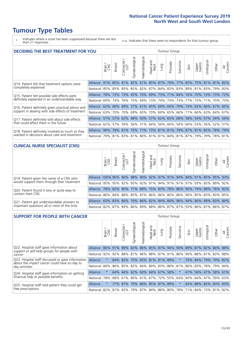### **Tumour Type Tables**

\* Indicates where a score has been suppressed because there are less than 21 responses.

n.a. Indicates that there were no respondents for that tumour group.

| <b>DECIDING THE BEST TREATMENT FOR YOU</b>                                                       |                                                                  |       |                 |            |                |                |                         |      | <b>Tumour Group</b> |              |                                                         |                 |                 |         |                |
|--------------------------------------------------------------------------------------------------|------------------------------------------------------------------|-------|-----------------|------------|----------------|----------------|-------------------------|------|---------------------|--------------|---------------------------------------------------------|-----------------|-----------------|---------|----------------|
|                                                                                                  |                                                                  | Brain | Breast          | Colorectal | Gynaecological | Haematological | Head and<br>Neck        | Lung | Prostate            | arcoma<br>vĀ | Skin                                                    | Upper<br>Gastro | Jrologica       | Other   | All<br>Cancers |
| Q14. Patient felt that treatment options were                                                    | Alliance                                                         |       | 91% 85% 81% 82% |            |                |                | 81% 85% 87% 79%         |      |                     | 77%          | 85%                                                     | 75%             | 81% 81%         |         | 82%            |
| completely explained                                                                             | National 85%                                                     |       | 85%             | 85%        |                |                |                         |      |                     |              | 85% 82% 87% 84% 83% 83% 89%                             |                 | 81% 83% 79% 83% |         |                |
| Q15. Patient felt possible side effects were                                                     | Alliance                                                         | 78%   | 73%             | <b>73%</b> |                |                | 65% 70% 69% 73% 71% 84% |      |                     |              |                                                         |                 | 76% 70% 73% 73% |         | 72%            |
| definitely explained in an understandable way                                                    | National I                                                       | 69%   | 74%             | 76%        |                |                | 75% 69% 73% 74% 73%     |      |                     |              | 73% 77%                                                 | 72%             |                 | 71% 70% | 73%            |
| Q16. Patient definitely given practical advice and                                               | Alliance                                                         |       |                 |            |                |                |                         |      |                     |              | 62% 66% 69% 57% 61% 65% 69% 64% 79% 74% 63% 66% 67% 65% |                 |                 |         |                |
| support in dealing with side effects of treatment                                                | National 63%                                                     |       | 70%             | 70%        |                |                |                         |      |                     |              | 69%   65%   70%   69%   65%   66%   71%                 |                 | 66% 63% 64%     |         | 67%            |
| Q17. Patient definitely told about side effects                                                  | Alliance                                                         |       |                 |            |                |                |                         |      |                     |              | 57% 57% 62% 48% 50% 57% 62% 65% 68% 58% 54% 57% 54%     |                 |                 |         | 56%            |
| that could affect them in the future                                                             | National 62%                                                     |       |                 | 57% 59%    |                |                |                         |      |                     |              | 56% 51% 64% 56% 66% 54% 66% 53%                         |                 |                 | 56% 52% | 57%            |
| Q18. Patient definitely involved as much as they<br>wanted in decisions about care and treatment | Alliance                                                         |       | 96% 78% 81%     |            |                |                |                         |      |                     |              | 75% 77% 73% 81% 81% 79% 87% 81% 82% 78% 79%             |                 |                 |         |                |
|                                                                                                  | National 79% 81% 83% 81% 80% 81% 81% 84% 81% 87% 79% 79% 78% 81% |       |                 |            |                |                |                         |      |                     |              |                                                         |                 |                 |         |                |

#### **CLINICAL NURSE SPECIALIST (CNS)** Tumour Group

|                                                                                           |                                                                  | Brain<br>CNS | <b>Breast</b> | Colorectal<br>LGT | Gynaecologic | ᠊ᢛ<br>Ü<br>aematologi | Head and<br>Neck | Lung | Prostate | Sarcoma | Skin | Upper<br>Gastro             | ᅙ<br>Irologica | Other                                                   | All<br>Cancers |
|-------------------------------------------------------------------------------------------|------------------------------------------------------------------|--------------|---------------|-------------------|--------------|-----------------------|------------------|------|----------|---------|------|-----------------------------|----------------|---------------------------------------------------------|----------------|
| Q19. Patient given the name of a CNS who                                                  | Alliance 100% 96% 96% 98%                                        |              |               |                   |              |                       |                  |      |          |         |      | 90% 92% 97% 91% 94% 84% 91% |                | 85% 95% 93%                                             |                |
| would support them through their treatment                                                | National 95% 95% 92% 95% 92% 91% 94% 91% 91% 91% 93% 85% 89%     |              |               |                   |              |                       |                  |      |          |         |      |                             |                |                                                         | 92%            |
| Q20. Patient found it very or quite easy to                                               | Alliance                                                         |              |               |                   |              |                       |                  |      |          |         |      |                             |                | 78% 82% 90% 71% 88% 75% 83% 78% 86% 90% 74% 88% 76% 82% |                |
| contact their CNS                                                                         | National l                                                       |              |               |                   |              |                       |                  |      |          |         |      |                             |                | 86% 84% 88% 85% 87% 86% 86% 80% 86% 90% 85% 83% 83% 85% |                |
| Q21. Patient got understandable answers to<br>important questions all or most of the time | Alliance                                                         |              | 65% 83% 86%   |                   | 79%          |                       |                  |      |          |         |      | 86% 82% 84% 84% 96% 94% 80% |                | 89% 83% 84%                                             |                |
|                                                                                           | National 82% 87% 89% 86% 89% 88% 86% 87% 87% 93% 86% 87% 86% 87% |              |               |                   |              |                       |                  |      |          |         |      |                             |                |                                                         |                |

| <b>SUPPORT FOR PEOPLE WITH CANCER</b>                                                             |                                          |         |               |                             |                |                                 |                        |      | Tumour Group |          |                         |                 |           |                 |                |
|---------------------------------------------------------------------------------------------------|------------------------------------------|---------|---------------|-----------------------------|----------------|---------------------------------|------------------------|------|--------------|----------|-------------------------|-----------------|-----------|-----------------|----------------|
|                                                                                                   |                                          | Brain   | <b>Breast</b> | ╮<br>olorectal.<br>LGT<br>Ũ | Gynaecological | Haematological                  | ad and<br>Neck<br>Head | Lung | Prostate     | Sarcoma  | Skin                    | Upper<br>Gastro | Jrologica | Other           | All<br>Cancers |
| Q22. Hospital staff gave information about<br>support or self-help groups for people with         | Alliance                                 | 86%     | 91%           | 89%                         |                | 82% 86% 85% 87% 94%             |                        |      |              | 90%      | 89%                     | 87%             |           | 82% 84%         | 88%            |
| cancer                                                                                            | National                                 | 92%     | 92%           | 88%                         |                | 87% 86% 88% 87% 91%             |                        |      |              | 86%      | $90\%$                  |                 |           | 88% 81% 83%     | 88%            |
| Q23. Hospital staff discussed or gave information<br>about the impact cancer could have on day to | Alliance                                 | $\star$ |               | 84% 82%                     |                | 75% 83% 81% 81% 89%             |                        |      |              | $\star$  | 79%                     |                 |           | 84% 79% 79% 82% |                |
| day activities                                                                                    | National 84%                             |         |               |                             |                | 86% 85% 82% 84% 84% 83% 88% 81% |                        |      |              |          |                         | 86% 83%         |           | 78% 79%         | 84%            |
| Q24. Hospital staff gave information on getting                                                   | Alliance                                 | $\star$ |               | 64% 64%                     |                | 62% 60% 64% 67% 58%             |                        |      |              |          |                         | 67% 56% 47%     |           | 58% 61%         |                |
| financial help or possible benefits                                                               | National                                 | 78%     |               |                             |                | 68% 61% 66% 61% 67% 72% 55%     |                        |      |              | 64%      | 60%                     |                 | 64% 47%   | 59%             | 63%            |
| Q25. Hospital staff told patient they could get<br>free prescriptions                             | Alliance                                 | $\star$ |               | 77% 87%                     |                | 79% 86% 85% 87% 89%             |                        |      |              | $^\star$ | 83%                     |                 |           | 88% 82% 83% 83% |                |
|                                                                                                   | National 82% 81% 83% 79% 87% 84% 86% 80% |         |               |                             |                |                                 |                        |      |              |          | 78% 71% 84% 73% 81% 82% |                 |           |                 |                |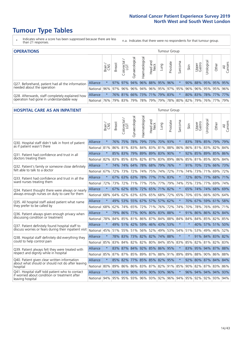### **Tumour Type Tables**

- \* Indicates where a score has been suppressed because there are less than 21 responses.
- n.a. Indicates that there were no respondents for that tumour group.

| <b>OPERATIONS</b><br>Tumour Group                |                 |               |               |                   |                        |                |                             |      |          |         |      |                 |           |                                                  |                |
|--------------------------------------------------|-----------------|---------------|---------------|-------------------|------------------------|----------------|-----------------------------|------|----------|---------|------|-----------------|-----------|--------------------------------------------------|----------------|
|                                                  |                 | Brain         | <b>Breast</b> | Colorectal<br>LGT | ᠊ᢛ<br>haecologic<br>ĞΪ | Haematological | Head and<br>Neck            | Lung | Prostate | Sarcoma | Skin | Upper<br>Gastro | Urologica | Other                                            | All<br>Cancers |
| Q27. Beforehand, patient had all the information | <b>Alliance</b> |               |               | 97% 97%           |                        |                | 94% 96% 88% 95% 96%         |      |          |         |      |                 |           | 90% 88% 95% 95% 95%                              |                |
| needed about the operation                       | <b>National</b> |               | 96% 97% 96%   |                   |                        |                |                             |      |          |         |      |                 |           | 96% 94% 96% 95% 97% 95% 96% 96% 95% 95% 95% 96%  |                |
| Q28. Afterwards, staff completely explained how  | Alliance        | $\star$       |               |                   |                        |                | 76% 81% 66% 73% 71% 79% 83% |      |          | $\star$ |      |                 |           | 80% 83% 78% 77% 77%                              |                |
| operation had gone in understandable way         | National        | <u>176% l</u> |               | 79% 83%           |                        |                |                             |      |          |         |      |                 |           | 79%  78%  79%  79%  78%  80%  82%  79%  76%  77% | 79%            |

#### **HOSPITAL CARE AS AN INPATIENT THE CARE AS AN INPATIENT Tumour Group** Gynaecological Gynaecological Haematological Haematological Colorectal / Urological Head and Prostate Sarcoma Breast Lung Upper Gastro Brain / CNS Neck Skin  $\overline{5}$ Alliance \* 76% 75% 78% 79% 73% 70% 93% \* 83% 78% 85% 79% 79% Q30. Hospital staff didn't talk in front of patient as if patient wasn't there National 81% 86% 81% 83% 84% 83% 81% 88% 86% 86% 81% 83% 82% 84% Q31. Patient had confidence and trust in all Alliance \* 85% 83% 79% 89% 89% 83% 90% \* 92% 85% 89% 85% 86% doctors treating them National 82% 83% 85% 83% 82% 82% 83% 83% 89% 86% 85% 81% 85% 80% 84% Q32. Patient's family or someone close definitely Alliance \* 74% 74% 64% 78% 68% 79% 76% \* 91% 70% 72% 66% 73% felt able to talk to a doctor National 67% 72% 73% 72% 74% 75% 74% 72% 71% 74% 73% 71% 69% 72% Q33. Patient had confidence and trust in all the Alliance \* 67% 63% 63% 78% 77% 71% 83% \* 72% 80% 77% 68% 71% ward nurses treating them National 72% 73% 72% 71% 77% 75% 77% 79% 74% 75% 73% 77% 69% 74% Alliance \* 67% 62% 65% 72% 65% 71% 82% \* 65% 74% 74% 68% 69% Q34. Patient thought there were always or nearly always enough nurses on duty to care for them National 68% 64% 62% 63% 63% 65% 68% 72% 65% 70% 65% 66% 60% 64% Alliance \* 49% 53% 55% 67% 57% 57% 62% \* 70% 67% 59% 61% 58% Q35. All hospital staff asked patient what name they prefer to be called by National 68% 62% 74% 65% 72% 71% 76% 72% 74% 70% 78% 76% 69% 71% Q36. Patient always given enough privacy when Alliance \* 79% 86% 77% 90% 80% 83% 88% \* 91% 86% 86% 82% 84% discussing condition or treatment National 78% 84% 84% 87% 87% 87% 84% 87% 84% 84% 84% 84% 85% 82% 85% Alliance \* 49% 51% 42% 59% 46% 43% 53% \* \* 40% 57% 51% 50% Q37. Patient definitely found hospital staff to discuss worries or fears during their inpatient visit National 45% 51% 55% 51% 56% 52% 49% 53% 54% 51% 53% 49% 46% 52% Alliance \* 78% 83% 73% 82% 82% 74% 88% \* \* 91% 84% 83% 82% Q38. Hospital staff definitely did everything they could to help control pain National 85% 83% 84% 82% 82% 80% 84% 85% 83% 85% 82% 81% 82% 83% Alliance \* 83% 87% 84% 92% 85% 86% 95% \* 83% 95% 94% 87% 88% Q39. Patient always felt they were treated with respect and dignity while in hospital National 85% 87% 87% 85% 89% 87% 88% 91% 89% 89% 88% 90% 86% 88% Q40. Patient given clear written information Alliance \* 85% 82% 77% 85% 85% 82% 95% \* 92% 80% 87% 84% 84% about what should or should not do after leaving hospital National 80% 89% 86% 86% 83% 87% 82% 91% 85% 90% 82% 87% 83% 86% Q41. Hospital staff told patient who to contact Alliance \* 93% 91% 90% 95% 90% 93% 96% \* 96% 94% 94% 94% 93% if worried about condition or treatment after leaving hospital National 94% 95% 95% 93% 96% 93% 92% 96% 94% 95% 92% 92% 93% 94%

Other

₹ Cancers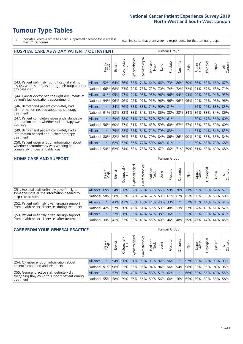# **Tumour Type Tables**

- \* Indicates where a score has been suppressed because there are less than 21 responses.
- n.a. Indicates that there were no respondents for that tumour group.

| <b>HOSPITAL CARE AS A DAY PATIENT / OUTPATIENT</b><br><b>Tumour Group</b>                              |          |         |               |                          |                |                |                  |                             |          |         |         |                 |                 |          |                |
|--------------------------------------------------------------------------------------------------------|----------|---------|---------------|--------------------------|----------------|----------------|------------------|-----------------------------|----------|---------|---------|-----------------|-----------------|----------|----------------|
|                                                                                                        |          | Brain   | <b>Breast</b> | ∽<br>Colorectal /<br>LGT | Gynaecological | Haematological | Head and<br>Neck | Lung                        | Prostate | Sarcoma | Skin    | Upper<br>Gastro | Urological      | Other    | All<br>Cancers |
| Q43. Patient definitely found hospital staff to<br>discuss worries or fears during their outpatient or | Alliance | 52%     | 64%           | 66%                      | 68%            | 74%            | 64%              | 66%                         | 73%      | 86%     | 70%     | 56%             | 63%             | 66%      | 67%            |
| day case visit                                                                                         | National | 66%     | 68%           | 73%                      | 70%            | 73%            | 72%              | 70%                         | 74%      | 72%     | 72%     | 71%             | 67%             | 68%      | 71%            |
| Q44. Cancer doctor had the right documents at                                                          | Alliance | 81%     | 95%           | 97%                      | 94%            |                |                  | 98% 98% 96%                 | 96%      | 94%     |         |                 | 93% 90% 95%     | 94%      | 95%            |
| patient's last outpatient appointment                                                                  | National | 94%     | 96%           | 96%                      | 96%            | 97%            |                  | 96% 96% 96%                 |          | 96%     | 96%     | 94%             | 96%             | 95%      | 96%            |
| Q46. Beforehand patient completely had<br>all information needed about radiotherapy                    | Alliance | $\star$ | 84%           |                          |                |                |                  | 76% 88% 83% 74% 90% 81%     |          | $\ast$  | $\star$ |                 | 86% 90% 83% 83% |          |                |
| treatment                                                                                              | National | 91%     |               | 88% 83%                  |                |                |                  | 88%   84%   86%   86%   88% |          | 88%     | 84%     | 86%             | 83% 84% 86%     |          |                |
| Q47. Patient completely given understandable<br>information about whether radiotherapy was             | Alliance | $\star$ | 59%           |                          |                |                |                  | 58% 61% 70% 57% 52% 61%     |          | $\ast$  | $\star$ | 50%             | 67%             | 56%      | 60%            |
| working                                                                                                | National | 56%     | 60%           | 57%                      | 61%            | 62%            |                  | 63% 59% 60%                 |          | 67%     | 57%     | 52%             | 59%             | 59%      | 60%            |
| Q49. Beforehand patient completely had all<br>information needed about chemotherapy                    | Alliance | $\star$ |               |                          |                |                |                  | 79% 82% 86% 84% 71% 79% 83% |          | $\star$ |         |                 | 85% 94% 84% 83% |          |                |
| treatment                                                                                              | National | 80%     | 82%           | 86%                      |                | 87% 85%        |                  | 79% 84% 86%                 |          | 86%     | 90%     |                 | 84% 85% 85%     |          | 84%            |
| Q50. Patient given enough information about<br>whether chemotherapy was working in a                   | Alliance | $\star$ |               |                          |                |                |                  | 62% 63% 66% 77% 50% 64% 61% |          | $\star$ | $\star$ |                 | 69% 83%         | $ 70\% $ | 68%            |
| National<br>completely understandable way                                                              |          |         | 54%           |                          |                |                |                  | 62% 64% 68% 75% 57% 67% 66% |          | 71%     | 79%     |                 | $61\%$ 68% 69%  |          | 68%            |
| <b>HOME CARE AND SUPPORT</b><br><b>Tumour Group</b>                                                    |          |         |               |                          |                |                |                  |                             |          |         |         |                 |                 |          |                |
|                                                                                                        |          |         |               |                          |                |                |                  |                             |          |         |         |                 |                 |          |                |

|                                                                                              |          | Brain    | <b>Breast</b>   | olorectal.<br>LGT<br>$\cup$ | ᢛ<br>Gynaecologic | Haematological | ad and<br>Neck<br>—<br>Head | Lung | Prostate | Sarcoma                                             | Skin    | Upper<br>Gastro | Urological      | Other                 | All<br>Cancers |
|----------------------------------------------------------------------------------------------|----------|----------|-----------------|-----------------------------|-------------------|----------------|-----------------------------|------|----------|-----------------------------------------------------|---------|-----------------|-----------------|-----------------------|----------------|
| Q51. Hospital staff definitely gave family or<br>someone close all the information needed to | Alliance | 65%      |                 | 54% 56%                     |                   |                | 52% 60% 65%                 |      | 56% 59%  |                                                     | 78% 71% |                 |                 | 59% 58% 52%           | 57%            |
| help care at home                                                                            | National |          | 58%   58%   63% |                             |                   |                |                             |      |          | 57% 62% 67% 59% 61% 62% 65%                         |         |                 |                 | 60%   59%   55%   60% |                |
| Q52. Patient definitely given enough support                                                 | Alliance |          |                 |                             |                   |                | 43% 47% 36% 45% 41% 40% 33% |      |          |                                                     |         |                 |                 | 57% 45% 44% 47% 44%   |                |
| from health or social services during treatment                                              | National | 42%      |                 |                             |                   |                |                             |      |          | 52% 60% 45% 51% 59% 50% 48% 53% 57% 54% 48% 51% 52% |         |                 |                 |                       |                |
| Q53. Patient definitely given enough support                                                 | Alliance | $\star$  | 37%             |                             |                   |                | 36% 35% 42% 57% 38% 36%     |      |          |                                                     |         |                 |                 | 55% 55% 39% 42% 41%   |                |
| from health or social services after treatment                                               | National | $ 39\% $ |                 |                             |                   |                | 41% 53% 39% 43% 56% 40% 46% |      |          |                                                     | 48% 59% |                 | 47%   44%   44% |                       | 45%            |

| <b>CARE FROM YOUR GENERAL PRACTICE</b><br><b>Tumour Group</b>                                 |              |         |               |                   |                   |                 |                  |      |                                 |         |                     |                 |           |                     |                |
|-----------------------------------------------------------------------------------------------|--------------|---------|---------------|-------------------|-------------------|-----------------|------------------|------|---------------------------------|---------|---------------------|-----------------|-----------|---------------------|----------------|
|                                                                                               |              | Brain   | <b>Breast</b> | Colorectal<br>LGT | ᢛ<br>Gynaecologic | Haematological  | Head and<br>Neck | Lung | Prostate                        | Sarcoma | Skin                | Upper<br>Gastro | Jrologica | Other               | All<br>Cancers |
| Q54. GP given enough information about                                                        | Alliance     | $\star$ |               |                   | 94% 90% 91%       | 93% 93% 92% 96% |                  |      |                                 |         |                     |                 |           | 97% 90% 92% 93% 93% |                |
| patient's condition and treatment                                                             | National 91% |         |               |                   |                   |                 |                  |      | 96% 95% 95% 96% 94% 94% 96% 94% |         | 96% 93% 95% 94% 95% |                 |           |                     |                |
| Q55. General practice staff definitely did<br>everything they could to support patient during | Alliance     | $\star$ |               |                   |                   |                 |                  |      | 57% 53% 49% 55% 58% 51% 62%     | $\star$ |                     |                 |           | 66% 52% 56% 49% 55% |                |
| treatment                                                                                     | National     | 55%     |               | 58% 59%           |                   |                 |                  |      | 56% 56% 59% 56% 64%             |         | 56% 65%             |                 |           | 59% 59% 55% 58%     |                |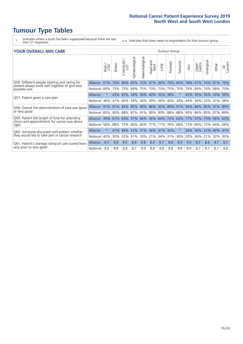### **Tumour Type Tables**

- \* Indicates where a score has been suppressed because there are less than 21 responses.
- n.a. Indicates that there were no respondents for that tumour group.

#### **YOUR OVERALL NHS CARE** THE CONSTRUCTION OF THE THROUP GROUP TUMOUR GROUP

| I YUN YENALE BI DIYANE<br>anour oroup                                                           |          |         |                     |                            |                |                |                                                         |                 |          |              |      |                     |                |         |                |
|-------------------------------------------------------------------------------------------------|----------|---------|---------------------|----------------------------|----------------|----------------|---------------------------------------------------------|-----------------|----------|--------------|------|---------------------|----------------|---------|----------------|
|                                                                                                 |          | Brain   | <b>Breast</b>       | ╮<br>olorectal<br>LGT<br>Û | Gynaecological | Haematological | aad and<br>Neck<br>Head                                 | Lung            | Prostate | arcoma<br>ιñ | Skin | Upper<br>Gastro     | लु<br>Urologic | Other   | All<br>Cancers |
| Q56. Different people treating and caring for                                                   | Alliance | 57%     | 70%                 | 66%                        | 62%            | 72%            | 67%                                                     | 69%             | 74%      | 80%          | 78%  | 67%                 | 74%            | 67%     | 70%            |
| patient always work well together to give best<br>possible care                                 | National | 60%     |                     | 73% 73%                    | 69%            |                | 75% 73%                                                 | 73% 75%         |          | 70%          | 79%  | 69%                 | 74%            | 68%     | 73%            |
| Q57. Patient given a care plan                                                                  | Alliance | $\star$ |                     | 45% 43%                    |                |                | 34% 36% 40% 32% 38%                                     |                 |          | $\star$      |      | 45% 35% 35% 33% 39% |                |         |                |
|                                                                                                 | National | 36%     | 41%                 | 40%                        | 34%            |                | 36% 39%                                                 | 36% 40%         |          | 34%          | 44%  | 36%                 | 33%            | 31%     | 38%            |
| Q58. Overall the administration of care was good                                                | Alliance |         | 91% 91% 83% 85% 90% |                            |                |                |                                                         | 88% 92% 89% 91% |          |              |      | 94% 84% 85%         |                | 91% 89% |                |
| or very good                                                                                    | National |         | 85% 90% 88%         |                            |                |                | 87% 91% 90% 90% 88% 88% 90%                             |                 |          |              |      | 86% 85%             |                | 87% 89% |                |
| Q59. Patient felt length of time for attending<br>clinics and appointments for cancer was about | Alliance |         |                     |                            |                |                | 39% 61% 63% 57% 64% 56% 64% 73% 63% 77% 57% 75% 56% 63% |                 |          |              |      |                     |                |         |                |
| right                                                                                           | National | 58%     |                     | 68% 73%                    | 66%            |                | $66\%$ 71%                                              | 71% 76%         |          | 68%          | 73%  | 66%                 | 75%            | 64%     | 69%            |
| Q60. Someone discussed with patient whether                                                     | Alliance | $\star$ | 41%                 | 48%                        |                |                | 51% 37% 34% 41% 43%                                     |                 |          | $\star$      | 29%  | 56% 23%             |                | 49%     | 41%            |
| they would like to take part in cancer research                                                 | National | 42%     | $30\%$              | 32%                        | 31%            |                | 33% 21%                                                 | 34% 31%         |          | 36%          | 20%  | 36%                 | 21%            | 32%     | 30%            |
| Q61. Patient's average rating of care scored from                                               | Alliance | 8.5     | 8.8                 | 8.5                        | 8.6            | 8.8            | 8.6                                                     | 8.7             | 8.8      | 8.9          | 9.0  | 8.5                 | 8.6            | 8.7     | 8.7            |
| very poor to very good                                                                          | National | 8.6     | 8.9                 | 8.8                        | 8.7            | 8.9            | 8.8                                                     | 8.8             | 8.8      | 8.8          | 8.9  | 8.7                 | 8.7            | 8.7     | 8.8            |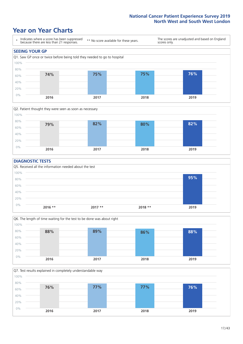### **Year on Year Charts**





#### **DIAGNOSTIC TESTS**





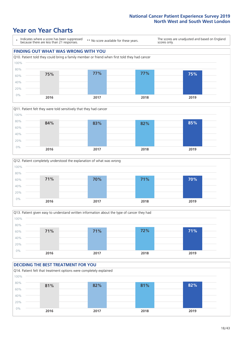### **Year on Year Charts**









#### **DECIDING THE BEST TREATMENT FOR YOU**

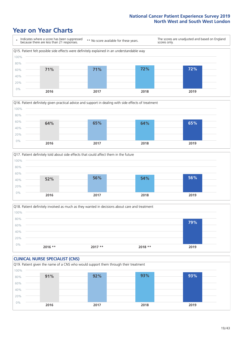### **Year on Year Charts**









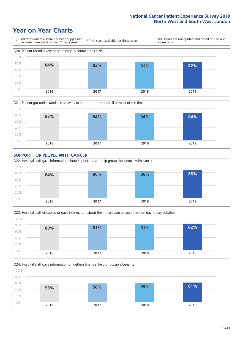### **Year on Year Charts**









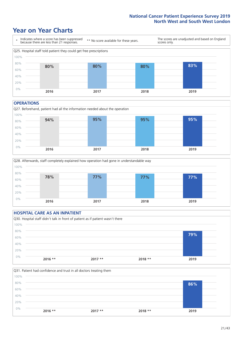### **Year on Year Charts**



#### **OPERATIONS**





#### **HOSPITAL CARE AS AN INPATIENT** Q30. Hospital staff didn't talk in front of patient as if patient wasn't there 0% 20% 40% 60% 80% 100% **2016 \*\* 2017 \*\* 2018 \*\* 2019 79%**

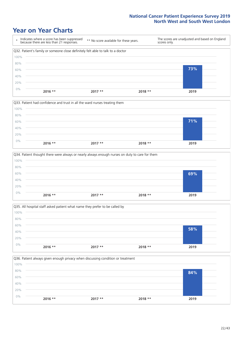### **Year on Year Charts**

|      | Indicates where a score has been suppressed<br>because there are less than 21 responses. | ** No score available for these years. | scores only. | The scores are unadjusted and based on England |
|------|------------------------------------------------------------------------------------------|----------------------------------------|--------------|------------------------------------------------|
|      | Q32. Patient's family or someone close definitely felt able to talk to a doctor          |                                        |              |                                                |
| 100% |                                                                                          |                                        |              |                                                |
| 80%  |                                                                                          |                                        |              |                                                |
| 60%  |                                                                                          |                                        |              | 73%                                            |
| 40%  |                                                                                          |                                        |              |                                                |
| 20%  |                                                                                          |                                        |              |                                                |
| 0%   | 2016 **                                                                                  | $2017**$                               | $2018**$     | 2019                                           |



|       |           | Q34. Patient thought there were always or nearly always enough nurses on duty to care for them |          |      |
|-------|-----------|------------------------------------------------------------------------------------------------|----------|------|
| 100%  |           |                                                                                                |          |      |
| 80%   |           |                                                                                                |          |      |
| 60%   |           |                                                                                                |          | 69%  |
| 40%   |           |                                                                                                |          |      |
| 20%   |           |                                                                                                |          |      |
| $0\%$ | $2016$ ** | $2017**$                                                                                       | $2018**$ | 2019 |
|       |           |                                                                                                |          |      |

Q35. All hospital staff asked patient what name they prefer to be called by  $0%$ 20% 40% 60% 80% 100% **2016 \*\* 2017 \*\* 2018 \*\* 2019 58%**

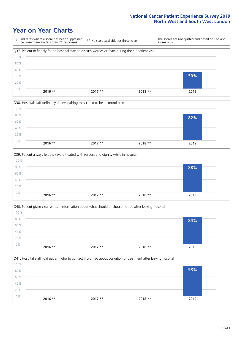### **Year on Year Charts**

|      | Indicates where a score has been suppressed<br>because there are less than 21 responses.              | ** No score available for these years. | scores only. | The scores are unadjusted and based on England |  |
|------|-------------------------------------------------------------------------------------------------------|----------------------------------------|--------------|------------------------------------------------|--|
|      | Q37. Patient definitely found hospital staff to discuss worries or fears during their inpatient visit |                                        |              |                                                |  |
| 100% |                                                                                                       |                                        |              |                                                |  |
| 80%  |                                                                                                       |                                        |              |                                                |  |
| 60%  |                                                                                                       |                                        |              |                                                |  |
| 40%  |                                                                                                       |                                        |              | 50%                                            |  |
| 20%  |                                                                                                       |                                        |              |                                                |  |
| 0%   | 2016 **                                                                                               | $2017**$                               | $2018**$     | 2019                                           |  |
|      |                                                                                                       |                                        |              |                                                |  |



|       | Q39. Patient always felt they were treated with respect and dignity while in hospital |          |          |      |  |  |  |  |  |
|-------|---------------------------------------------------------------------------------------|----------|----------|------|--|--|--|--|--|
| 100%  |                                                                                       |          |          |      |  |  |  |  |  |
| 80%   |                                                                                       |          |          | 88%  |  |  |  |  |  |
| 60%   |                                                                                       |          |          |      |  |  |  |  |  |
| 40%   |                                                                                       |          |          |      |  |  |  |  |  |
| 20%   |                                                                                       |          |          |      |  |  |  |  |  |
| $0\%$ | $2016$ **                                                                             | $2017**$ | $2018**$ | 2019 |  |  |  |  |  |
|       |                                                                                       |          |          |      |  |  |  |  |  |

|       | Q40. Patient given clear written information about what should or should not do after leaving hospital |          |          |      |  |  |  |  |  |
|-------|--------------------------------------------------------------------------------------------------------|----------|----------|------|--|--|--|--|--|
| 100%  |                                                                                                        |          |          |      |  |  |  |  |  |
| 80%   |                                                                                                        |          |          | 84%  |  |  |  |  |  |
| 60%   |                                                                                                        |          |          |      |  |  |  |  |  |
| 40%   |                                                                                                        |          |          |      |  |  |  |  |  |
| 20%   |                                                                                                        |          |          |      |  |  |  |  |  |
| $0\%$ | $2016$ **                                                                                              | $2017**$ | $2018**$ | 2019 |  |  |  |  |  |
|       |                                                                                                        |          |          |      |  |  |  |  |  |

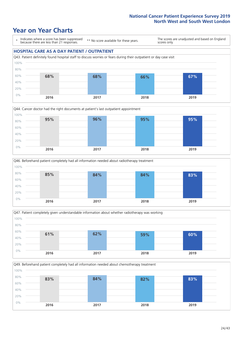### **Year on Year Charts**

\* Indicates where a score has been suppressed because there are less than 21 responses.

\*\* No score available for these years.

The scores are unadjusted and based on England scores only.

#### **HOSPITAL CARE AS A DAY PATIENT / OUTPATIENT**









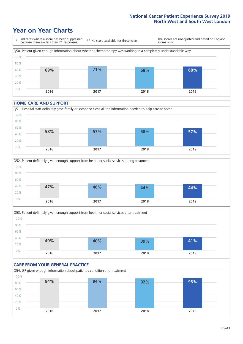### **Year on Year Charts**



#### **HOME CARE AND SUPPORT**







#### **CARE FROM YOUR GENERAL PRACTICE** Q54. GP given enough information about patient's condition and treatment 0% 20% 40% 60% 80% 100% **2016 2017 2018 2019 94% 94% 92% 93%**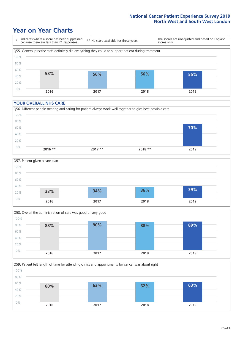### **Year on Year Charts**



#### **YOUR OVERALL NHS CARE**







Q59. Patient felt length of time for attending clinics and appointments for cancer was about right 0% 20% 40% 60% 80% 100% **2016 2017 2018 2019 60% 63% 62% 63%**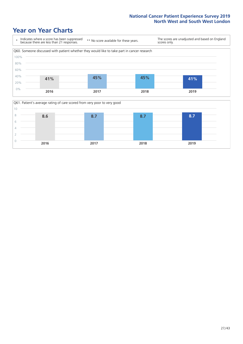### **Year on Year Charts**



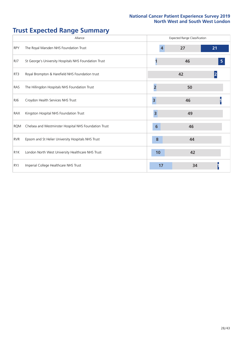# **Trust Expected Range Summary**

|                  | Alliance                                              | <b>Expected Range Classification</b> |    |    |  |  |  |  |
|------------------|-------------------------------------------------------|--------------------------------------|----|----|--|--|--|--|
| <b>RPY</b>       | The Royal Marsden NHS Foundation Trust                | $\overline{4}$                       | 27 | 21 |  |  |  |  |
| RJ7              | St George's University Hospitals NHS Foundation Trust |                                      | 46 | 5  |  |  |  |  |
| RT3              | Royal Brompton & Harefield NHS Foundation trust       |                                      | 42 | 2  |  |  |  |  |
| RAS              | The Hillingdon Hospitals NHS Foundation Trust         | 2                                    | 50 |    |  |  |  |  |
| RJ6              | Croydon Health Services NHS Trust                     | $\overline{\mathbf{3}}$              | 46 |    |  |  |  |  |
| RAX              | Kingston Hospital NHS Foundation Trust                | $\overline{3}$                       | 49 |    |  |  |  |  |
| <b>RQM</b>       | Chelsea and Westminster Hospital NHS Foundation Trust | 6                                    | 46 |    |  |  |  |  |
| <b>RVR</b>       | Epsom and St Helier University Hospitals NHS Trust    | 8                                    | 44 |    |  |  |  |  |
| R <sub>1</sub> K | London North West University Healthcare NHS Trust     | 10                                   | 42 |    |  |  |  |  |
| <b>RYJ</b>       | Imperial College Healthcare NHS Trust                 | 17                                   | 34 |    |  |  |  |  |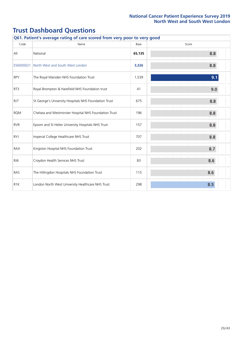| Q61. Patient's average rating of care scored from very poor to very good |                                                       |        |       |  |  |  |  |  |
|--------------------------------------------------------------------------|-------------------------------------------------------|--------|-------|--|--|--|--|--|
| Code                                                                     | Name                                                  | Base   | Score |  |  |  |  |  |
| All                                                                      | National                                              | 65,135 | 8.8   |  |  |  |  |  |
| E56000021                                                                | North West and South West London                      | 3,326  | 8.8   |  |  |  |  |  |
| <b>RPY</b>                                                               | The Royal Marsden NHS Foundation Trust                | 1,539  | 9.1   |  |  |  |  |  |
| RT3                                                                      | Royal Brompton & Harefield NHS Foundation trust       | 41     | 9.0   |  |  |  |  |  |
| RJ7                                                                      | St George's University Hospitals NHS Foundation Trust | 675    | 8.8   |  |  |  |  |  |
| <b>RQM</b>                                                               | Chelsea and Westminster Hospital NHS Foundation Trust | 196    | 8.8   |  |  |  |  |  |
| <b>RVR</b>                                                               | Epsom and St Helier University Hospitals NHS Trust    | 157    | 8.8   |  |  |  |  |  |
| <b>RYJ</b>                                                               | Imperial College Healthcare NHS Trust                 | 707    | 8.8   |  |  |  |  |  |
| RAX                                                                      | Kingston Hospital NHS Foundation Trust                | 202    | 8.7   |  |  |  |  |  |
| RJ6                                                                      | Croydon Health Services NHS Trust                     | 83     | 8.6   |  |  |  |  |  |
| RAS                                                                      | The Hillingdon Hospitals NHS Foundation Trust         | 115    | 8.6   |  |  |  |  |  |
| R <sub>1</sub> K                                                         | London North West University Healthcare NHS Trust     | 298    | 8.5   |  |  |  |  |  |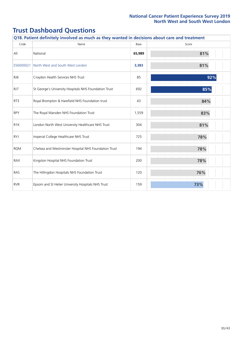| Code             | Q18. Patient definitely involved as much as they wanted in decisions about care and treatment<br>Name | Base   | Score |
|------------------|-------------------------------------------------------------------------------------------------------|--------|-------|
| All              | National                                                                                              | 65,989 | 81%   |
| E56000021        | North West and South West London                                                                      | 3,383  | 81%   |
| RJ6              | Croydon Health Services NHS Trust                                                                     | 85     | 92%   |
| RJ7              | St George's University Hospitals NHS Foundation Trust                                                 | 692    | 85%   |
| RT3              | Royal Brompton & Harefield NHS Foundation trust                                                       | 43     | 84%   |
| <b>RPY</b>       | The Royal Marsden NHS Foundation Trust                                                                | 1,559  | 83%   |
| R <sub>1</sub> K | London North West University Healthcare NHS Trust                                                     | 304    | 81%   |
| <b>RYJ</b>       | Imperial College Healthcare NHS Trust                                                                 | 725    | 78%   |
| <b>RQM</b>       | Chelsea and Westminster Hospital NHS Foundation Trust                                                 | 194    | 78%   |
| RAX              | Kingston Hospital NHS Foundation Trust                                                                | 200    | 78%   |
| RAS              | The Hillingdon Hospitals NHS Foundation Trust                                                         | 120    | 76%   |
| <b>RVR</b>       | Epsom and St Helier University Hospitals NHS Trust                                                    | 159    | 73%   |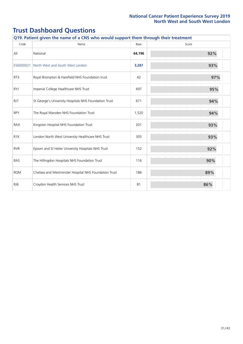| Q19. Patient given the name of a CNS who would support them through their treatment |                                                       |        |       |  |
|-------------------------------------------------------------------------------------|-------------------------------------------------------|--------|-------|--|
| Code                                                                                | Name                                                  | Base   | Score |  |
| All                                                                                 | National                                              | 64,196 | 92%   |  |
| E56000021                                                                           | North West and South West London                      | 3,287  | 93%   |  |
| RT3                                                                                 | Royal Brompton & Harefield NHS Foundation trust       | 42     | 97%   |  |
| <b>RYJ</b>                                                                          | Imperial College Healthcare NHS Trust                 | 697    | 95%   |  |
| RJ7                                                                                 | St George's University Hospitals NHS Foundation Trust | 671    | 94%   |  |
| <b>RPY</b>                                                                          | The Royal Marsden NHS Foundation Trust                | 1,520  | 94%   |  |
| RAX                                                                                 | Kingston Hospital NHS Foundation Trust                | 201    | 93%   |  |
| R <sub>1</sub> K                                                                    | London North West University Healthcare NHS Trust     | 305    | 93%   |  |
| <b>RVR</b>                                                                          | Epsom and St Helier University Hospitals NHS Trust    | 152    | 92%   |  |
| RAS                                                                                 | The Hillingdon Hospitals NHS Foundation Trust         | 116    | 90%   |  |
| <b>RQM</b>                                                                          | Chelsea and Westminster Hospital NHS Foundation Trust | 186    | 89%   |  |
| RJ6                                                                                 | Croydon Health Services NHS Trust                     | 81     | 86%   |  |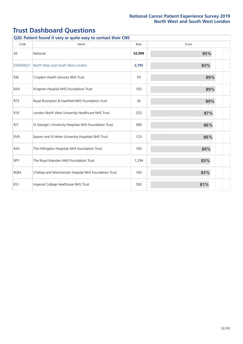| Q20. Patient found it very or quite easy to contact their CNS |                                                       |        |       |  |
|---------------------------------------------------------------|-------------------------------------------------------|--------|-------|--|
| Code                                                          | Name                                                  | Base   | Score |  |
| All                                                           | National                                              | 52,999 | 85%   |  |
| E56000021                                                     | North West and South West London                      | 2,795  | 83%   |  |
| RJ6                                                           | Croydon Health Services NHS Trust                     | 59     | 89%   |  |
| <b>RAX</b>                                                    | Kingston Hospital NHS Foundation Trust                | 163    | 89%   |  |
| RT3                                                           | Royal Brompton & Harefield NHS Foundation trust       | 30     | 89%   |  |
| R <sub>1</sub> K                                              | London North West University Healthcare NHS Trust     | 252    | 87%   |  |
| RJ7                                                           | St George's University Hospitals NHS Foundation Trust | 589    | 86%   |  |
| <b>RVR</b>                                                    | Epsom and St Helier University Hospitals NHS Trust    | 123    | 86%   |  |
| RAS                                                           | The Hillingdon Hospitals NHS Foundation Trust         | 100    | 84%   |  |
| <b>RPY</b>                                                    | The Royal Marsden NHS Foundation Trust                | 1,294  | 83%   |  |
| <b>RQM</b>                                                    | Chelsea and Westminster Hospital NHS Foundation Trust | 160    | 83%   |  |
| <b>RYJ</b>                                                    | Imperial College Healthcare NHS Trust                 | 592    | 81%   |  |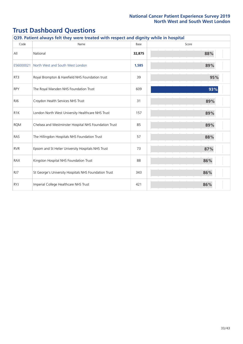|                  | Q39. Patient always felt they were treated with respect and dignity while in hospital |        |       |  |  |
|------------------|---------------------------------------------------------------------------------------|--------|-------|--|--|
| Code             | Name                                                                                  | Base   | Score |  |  |
| All              | National                                                                              | 32,875 | 88%   |  |  |
| E56000021        | North West and South West London                                                      | 1,585  | 89%   |  |  |
| RT3              | Royal Brompton & Harefield NHS Foundation trust                                       | 39     | 95%   |  |  |
| <b>RPY</b>       | The Royal Marsden NHS Foundation Trust                                                | 609    | 93%   |  |  |
| RJ6              | Croydon Health Services NHS Trust                                                     | 31     | 89%   |  |  |
| R <sub>1</sub> K | London North West University Healthcare NHS Trust                                     | 157    | 89%   |  |  |
| <b>ROM</b>       | Chelsea and Westminster Hospital NHS Foundation Trust                                 | 85     | 89%   |  |  |
| <b>RAS</b>       | The Hillingdon Hospitals NHS Foundation Trust                                         | 57     | 88%   |  |  |
| <b>RVR</b>       | Epsom and St Helier University Hospitals NHS Trust                                    | 73     | 87%   |  |  |
| <b>RAX</b>       | Kingston Hospital NHS Foundation Trust                                                | 88     | 86%   |  |  |
| RJ7              | St George's University Hospitals NHS Foundation Trust                                 | 343    | 86%   |  |  |
| <b>RYJ</b>       | Imperial College Healthcare NHS Trust                                                 | 421    | 86%   |  |  |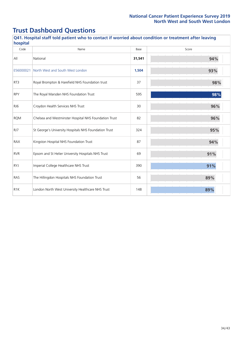| Q41. Hospital staff told patient who to contact if worried about condition or treatment after leaving<br>hospital |                                                       |        |       |  |  |
|-------------------------------------------------------------------------------------------------------------------|-------------------------------------------------------|--------|-------|--|--|
| Code                                                                                                              | Name                                                  | Base   | Score |  |  |
| All                                                                                                               | National                                              | 31,541 | 94%   |  |  |
| E56000021                                                                                                         | North West and South West London                      | 1,504  | 93%   |  |  |
| RT3                                                                                                               | Royal Brompton & Harefield NHS Foundation trust       | 37     | 98%   |  |  |
| <b>RPY</b>                                                                                                        | The Royal Marsden NHS Foundation Trust                | 595    | 98%   |  |  |
| RJ6                                                                                                               | Croydon Health Services NHS Trust                     | 30     | 96%   |  |  |
| <b>RQM</b>                                                                                                        | Chelsea and Westminster Hospital NHS Foundation Trust | 82     | 96%   |  |  |
| RJ7                                                                                                               | St George's University Hospitals NHS Foundation Trust | 324    | 95%   |  |  |
| <b>RAX</b>                                                                                                        | Kingston Hospital NHS Foundation Trust                | 87     | 94%   |  |  |
| <b>RVR</b>                                                                                                        | Epsom and St Helier University Hospitals NHS Trust    | 69     | 91%   |  |  |
| <b>RYJ</b>                                                                                                        | Imperial College Healthcare NHS Trust                 | 390    | 91%   |  |  |
| RAS                                                                                                               | The Hillingdon Hospitals NHS Foundation Trust         | 56     | 89%   |  |  |
| R <sub>1</sub> K                                                                                                  | London North West University Healthcare NHS Trust     | 148    | 89%   |  |  |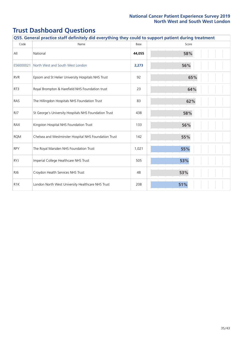| Q55. General practice staff definitely did everything they could to support patient during treatment |                                                       |        |       |  |  |
|------------------------------------------------------------------------------------------------------|-------------------------------------------------------|--------|-------|--|--|
| Code                                                                                                 | Name                                                  | Base   | Score |  |  |
| All                                                                                                  | National                                              | 44,055 | 58%   |  |  |
| E56000021                                                                                            | North West and South West London                      | 2,273  | 56%   |  |  |
| <b>RVR</b>                                                                                           | Epsom and St Helier University Hospitals NHS Trust    | 92     | 65%   |  |  |
| RT3                                                                                                  | Royal Brompton & Harefield NHS Foundation trust       | 23     | 64%   |  |  |
| RAS                                                                                                  | The Hillingdon Hospitals NHS Foundation Trust         | 83     | 62%   |  |  |
| RJ7                                                                                                  | St George's University Hospitals NHS Foundation Trust | 438    | 58%   |  |  |
| <b>RAX</b>                                                                                           | Kingston Hospital NHS Foundation Trust                | 133    | 56%   |  |  |
| <b>RQM</b>                                                                                           | Chelsea and Westminster Hospital NHS Foundation Trust | 142    | 55%   |  |  |
| <b>RPY</b>                                                                                           | The Royal Marsden NHS Foundation Trust                | 1,021  | 55%   |  |  |
| <b>RYJ</b>                                                                                           | Imperial College Healthcare NHS Trust                 | 505    | 53%   |  |  |
| RJ6                                                                                                  | Croydon Health Services NHS Trust                     | 48     | 53%   |  |  |
| R <sub>1</sub> K                                                                                     | London North West University Healthcare NHS Trust     | 208    | 51%   |  |  |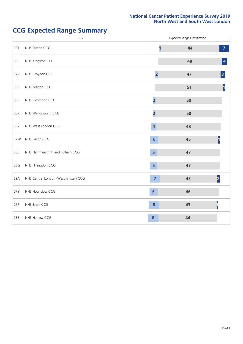# **CCG Expected Range Summary**

|     | CCG                                  |                         | <b>Expected Range Classification</b> |                  |
|-----|--------------------------------------|-------------------------|--------------------------------------|------------------|
| 08T | NHS Sutton CCG                       |                         | 44                                   | $\overline{7}$   |
| 08J | NHS Kingston CCG                     |                         | 48                                   | $\boldsymbol{4}$ |
| 07V | NHS Croydon CCG                      | $\overline{2}$          | 47                                   | $\vert$ 3        |
| 08R | NHS Merton CCG                       |                         | 51                                   | ı                |
| 08P | NHS Richmond CCG                     | $\overline{\mathbf{c}}$ | 50                                   |                  |
| 08X | NHS Wandsworth CCG                   | $\overline{\mathbf{2}}$ | 50                                   |                  |
| 08Y | NHS West London CCG                  | $\overline{4}$          | 48                                   |                  |
| 07W | NHS Ealing CCG                       | $6\phantom{1}$          | 45                                   |                  |
| 08C | NHS Hammersmith and Fulham CCG       | 5                       | 47                                   |                  |
| 08G | NHS Hillingdon CCG                   | 5                       | 47                                   |                  |
| 09A | NHS Central London (Westminster) CCG | $\overline{7}$          | 43                                   | 2                |
| 07Y | NHS Hounslow CCG                     | $6\phantom{1}$          | 46                                   |                  |
| 07P | NHS Brent CCG                        | $\boldsymbol{8}$        | 43                                   |                  |
| 08E | NHS Harrow CCG                       | 8                       | 44                                   |                  |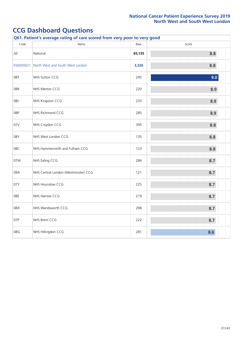| Q61. Patient's average rating of care scored from very poor to very good |                                      |        |       |  |
|--------------------------------------------------------------------------|--------------------------------------|--------|-------|--|
| Code                                                                     | Name                                 | Base   | Score |  |
| All                                                                      | National                             | 65,135 | 8.8   |  |
| E56000021                                                                | North West and South West London     | 3,326  | 8.8   |  |
| 08T                                                                      | NHS Sutton CCG                       | 295    | 9.0   |  |
| 08R                                                                      | NHS Merton CCG                       | 220    | 8.9   |  |
| 08J                                                                      | NHS Kingston CCG                     | 233    | 8.9   |  |
| 08P                                                                      | NHS Richmond CCG                     | 285    | 8.9   |  |
| 07V                                                                      | NHS Croydon CCG                      | 395    | 8.8   |  |
| 08Y                                                                      | NHS West London CCG                  | 135    | 8.8   |  |
| 08C                                                                      | NHS Hammersmith and Fulham CCG       | 123    | 8.8   |  |
| 07W                                                                      | NHS Ealing CCG                       | 284    | 8.7   |  |
| 09A                                                                      | NHS Central London (Westminster) CCG | 121    | 8.7   |  |
| 07Y                                                                      | NHS Hounslow CCG                     | 225    | 8.7   |  |
| 08E                                                                      | NHS Harrow CCG                       | 219    | 8.7   |  |
| 08X                                                                      | NHS Wandsworth CCG                   | 288    | 8.7   |  |
| 07P                                                                      | NHS Brent CCG                        | 222    | 8.7   |  |
| 08G                                                                      | NHS Hillingdon CCG                   | 281    | 8.6   |  |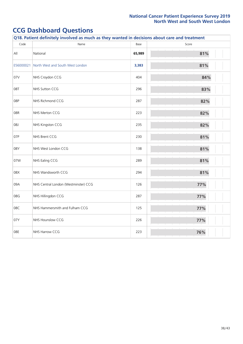| Q18. Patient definitely involved as much as they wanted in decisions about care and treatment |                                      |        |       |  |  |
|-----------------------------------------------------------------------------------------------|--------------------------------------|--------|-------|--|--|
| Code                                                                                          | Name                                 | Base   | Score |  |  |
| $\mathsf{All}$                                                                                | National                             | 65,989 | 81%   |  |  |
| E56000021                                                                                     | North West and South West London     | 3,383  | 81%   |  |  |
| 07V                                                                                           | NHS Croydon CCG                      | 404    | 84%   |  |  |
| 08T                                                                                           | NHS Sutton CCG                       | 296    | 83%   |  |  |
| 08P                                                                                           | NHS Richmond CCG                     | 287    | 82%   |  |  |
| 08R                                                                                           | NHS Merton CCG                       | 223    | 82%   |  |  |
| 08J                                                                                           | NHS Kingston CCG                     | 235    | 82%   |  |  |
| 07P                                                                                           | NHS Brent CCG                        | 230    | 81%   |  |  |
| 08Y                                                                                           | NHS West London CCG                  | 138    | 81%   |  |  |
| 07W                                                                                           | NHS Ealing CCG                       | 289    | 81%   |  |  |
| 08X                                                                                           | NHS Wandsworth CCG                   | 294    | 81%   |  |  |
| 09A                                                                                           | NHS Central London (Westminster) CCG | 126    | 77%   |  |  |
| 08G                                                                                           | NHS Hillingdon CCG                   | 287    | 77%   |  |  |
| 08C                                                                                           | NHS Hammersmith and Fulham CCG       | 125    | 77%   |  |  |
| 07Y                                                                                           | NHS Hounslow CCG                     | 226    | 77%   |  |  |
| 08E                                                                                           | NHS Harrow CCG                       | 223    | 76%   |  |  |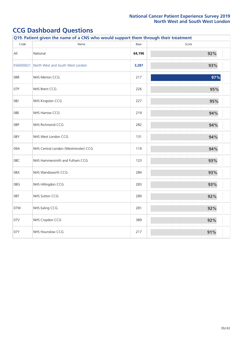| Q19. Patient given the name of a CNS who would support them through their treatment |                                      |        |       |  |  |
|-------------------------------------------------------------------------------------|--------------------------------------|--------|-------|--|--|
| Code                                                                                | Name                                 | Base   | Score |  |  |
| $\mathsf{All}$                                                                      | National                             | 64,196 | 92%   |  |  |
| E56000021                                                                           | North West and South West London     | 3,287  | 93%   |  |  |
| 08R                                                                                 | NHS Merton CCG                       | 217    | 97%   |  |  |
| 07P                                                                                 | NHS Brent CCG                        | 226    | 95%   |  |  |
| 08J                                                                                 | NHS Kingston CCG                     | 227    | 95%   |  |  |
| 08E                                                                                 | NHS Harrow CCG                       | 219    | 94%   |  |  |
| 08P                                                                                 | NHS Richmond CCG                     | 282    | 94%   |  |  |
| 08Y                                                                                 | NHS West London CCG                  | 131    | 94%   |  |  |
| 09A                                                                                 | NHS Central London (Westminster) CCG | 119    | 94%   |  |  |
| 08C                                                                                 | NHS Hammersmith and Fulham CCG       | 123    | 93%   |  |  |
| 08X                                                                                 | NHS Wandsworth CCG                   | 284    | 93%   |  |  |
| 08G                                                                                 | NHS Hillingdon CCG                   | 283    | 93%   |  |  |
| 08T                                                                                 | NHS Sutton CCG                       | 289    | 92%   |  |  |
| 07W                                                                                 | NHS Ealing CCG                       | 281    | 92%   |  |  |
| 07V                                                                                 | NHS Croydon CCG                      | 389    | 92%   |  |  |
| 07Y                                                                                 | NHS Hounslow CCG                     | 217    | 91%   |  |  |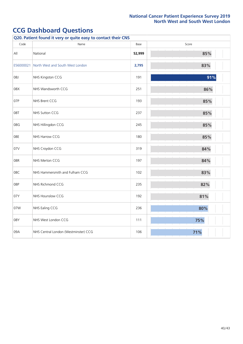| Q20. Patient found it very or quite easy to contact their CNS |                                      |        |       |  |  |
|---------------------------------------------------------------|--------------------------------------|--------|-------|--|--|
| Code                                                          | Name                                 | Base   | Score |  |  |
| $\mathsf{All}$                                                | National                             | 52,999 | 85%   |  |  |
| E56000021                                                     | North West and South West London     | 2,795  | 83%   |  |  |
| 08J                                                           | NHS Kingston CCG                     | 191    | 91%   |  |  |
| 08X                                                           | NHS Wandsworth CCG                   | 251    | 86%   |  |  |
| 07P                                                           | NHS Brent CCG                        | 193    | 85%   |  |  |
| 08T                                                           | NHS Sutton CCG                       | 237    | 85%   |  |  |
| 08G                                                           | NHS Hillingdon CCG                   | 245    | 85%   |  |  |
| 08E                                                           | NHS Harrow CCG                       | 180    | 85%   |  |  |
| 07V                                                           | NHS Croydon CCG                      | 319    | 84%   |  |  |
| 08R                                                           | NHS Merton CCG                       | 197    | 84%   |  |  |
| 08C                                                           | NHS Hammersmith and Fulham CCG       | 102    | 83%   |  |  |
| 08P                                                           | NHS Richmond CCG                     | 235    | 82%   |  |  |
| 07Y                                                           | NHS Hounslow CCG                     | 192    | 81%   |  |  |
| 07W                                                           | NHS Ealing CCG                       | 236    | 80%   |  |  |
| 08Y                                                           | NHS West London CCG                  | 111    | 75%   |  |  |
| 09A                                                           | NHS Central London (Westminster) CCG | 106    | 71%   |  |  |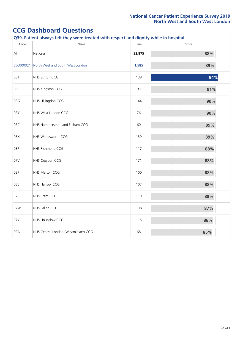| Q39. Patient always felt they were treated with respect and dignity while in hospital |                                      |        |       |  |
|---------------------------------------------------------------------------------------|--------------------------------------|--------|-------|--|
| Code                                                                                  | Name                                 | Base   | Score |  |
| $\mathsf{All}$                                                                        | National                             | 32,875 | 88%   |  |
| E56000021                                                                             | North West and South West London     | 1,585  | 89%   |  |
| 08T                                                                                   | NHS Sutton CCG                       | 138    | 94%   |  |
| 08J                                                                                   | NHS Kingston CCG                     | 93     | 91%   |  |
| 08G                                                                                   | NHS Hillingdon CCG                   | 144    | 90%   |  |
| 08Y                                                                                   | NHS West London CCG                  | 76     | 90%   |  |
| 08C                                                                                   | NHS Hammersmith and Fulham CCG       | 60     | 89%   |  |
| 08X                                                                                   | NHS Wandsworth CCG                   | 139    | 89%   |  |
| 08P                                                                                   | NHS Richmond CCG                     | 117    | 88%   |  |
| 07V                                                                                   | NHS Croydon CCG                      | 171    | 88%   |  |
| 08R                                                                                   | NHS Merton CCG                       | 100    | 88%   |  |
| 08E                                                                                   | NHS Harrow CCG                       | 107    | 88%   |  |
| 07P                                                                                   | NHS Brent CCG                        | 119    | 88%   |  |
| 07W                                                                                   | NHS Ealing CCG                       | 138    | 87%   |  |
| 07Y                                                                                   | NHS Hounslow CCG                     | 115    | 86%   |  |
| 09A                                                                                   | NHS Central London (Westminster) CCG | 68     | 85%   |  |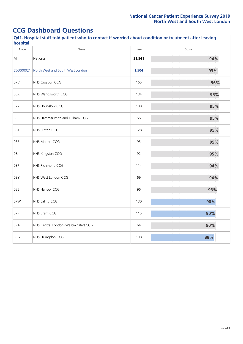| Q41. Hospital staff told patient who to contact if worried about condition or treatment after leaving<br>hospital |                                      |        |       |  |
|-------------------------------------------------------------------------------------------------------------------|--------------------------------------|--------|-------|--|
| Code                                                                                                              | Name                                 | Base   | Score |  |
| All                                                                                                               | National                             | 31,541 | 94%   |  |
| E56000021                                                                                                         | North West and South West London     | 1,504  | 93%   |  |
| 07V                                                                                                               | NHS Croydon CCG                      | 165    | 96%   |  |
| 08X                                                                                                               | NHS Wandsworth CCG                   | 134    | 95%   |  |
| 07Y                                                                                                               | NHS Hounslow CCG                     | 108    | 95%   |  |
| 08C                                                                                                               | NHS Hammersmith and Fulham CCG       | 56     | 95%   |  |
| 08T                                                                                                               | NHS Sutton CCG                       | 128    | 95%   |  |
| 08R                                                                                                               | NHS Merton CCG                       | 95     | 95%   |  |
| 08J                                                                                                               | NHS Kingston CCG                     | 92     | 95%   |  |
| 08P                                                                                                               | NHS Richmond CCG                     | 114    | 94%   |  |
| 08Y                                                                                                               | NHS West London CCG                  | 69     | 94%   |  |
| 08E                                                                                                               | NHS Harrow CCG                       | 96     | 93%   |  |
| 07W                                                                                                               | NHS Ealing CCG                       | 130    | 90%   |  |
| 07P                                                                                                               | NHS Brent CCG                        | 115    | 90%   |  |
| 09A                                                                                                               | NHS Central London (Westminster) CCG | 64     | 90%   |  |
| 08G                                                                                                               | NHS Hillingdon CCG                   | 138    | 88%   |  |